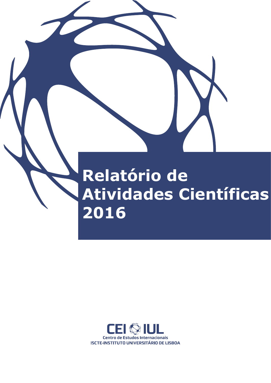# **Relatório de Atividades Científicas 2016**

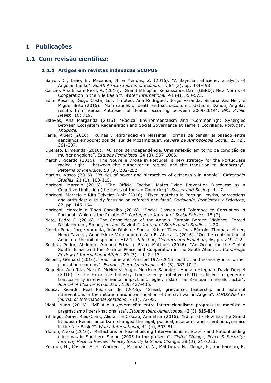# **1 Publicações**

# **1.1 Com revisão científica:**

#### **1.1.1 Artigos em revistas indexadas SCOPUS**

Barros, C., Leão, E., Macanda, N. e Mendes, Z. (2016). "A Bayesian efficiency analysis of Angolan banks". *South African Journal of Economics*, 84 (3), pp. 484-498.

Cascão, Ana Elisa e Nicol, A. (2016). "Grand Ethiopian Renaissance Dam (GERD): New Norms of Cooperation in the Nile Basin?". *Water International*, 41 (4), 550-573.

- Edite Rosário, Diogo Costa, Luís Timóteo, Ana Rodrigues, Jorge Varanda, Susana Vaz Nery e Miguel Brito (2016). "Main causes of death and socioeconomic status in Dande, Angola: results from Verbal Autopsies of deaths occurring between 2009-2014". *BMJ Public Health*, 16: 719.
- Esteves, Ana Margarida (2016). "Radical Environmentalism and "Commoning": Synergies Between Ecosystem Regeneration and Social Governance at Tamera Ecovillage, Portugal". *Antipode.*
- Farre, Albert (2016). "Ruinas y legitimidad en Massinga. Formas de pensar el pasado entre aancianos empobrecidos del sur de Mozambique". *Revista de Antropología Social*, 25 (2), 361-387.
- Liberato, Ermelinda (2016). "40 anos de independência. Uma reflexão em torno da condição da mulher angolana". *Estudos Feministas*, 24 (3), 997-1006.
- Marchi, Ricardo (2016). "The Nouvelle Droite in Portugal: a new strategy for the Portuguese radical right – between the authoritarian regime and the transition to democracy". *Patterns of Prejudice*, 50 (3), 232-252.
- Martins, Vasco (2016). "Politics of power and hierarchies of citizenship in Angola". *Citizenship Studies*, 21 (1), 100-115.
- Moriconi, Marcelo (2016). "The Official Football Match-Fixing Prevention Discourse as a Cognitive Limitation (the cases of Iberian Countries)". *Soccer and Society*, 1-17.
- Moriconi, Marcelo e Rita Teixeira-Diniz (2016). "Fixed matches in Portugal–myths, perceptions and attitudes: a study focusing on referees and fans". *Sociología, Problemas y Prácticas*, 82, pp. 145-164.
- Moriconi, Marcelo e Tiago Carvalho (2016). "Social Classes and Tolerance to Corruption in Portugal: Which is the Relation?". *Portuguese Journal of Social Science*, 15 (2).
- Neto, Pedro F. (2016). "The Consolidation of the Angola—Zambia Border: Violence, Forced Displacement, Smugglers and Savimbi". *Journal of Borderlands Studies,* 1-20.
- Pineda-Peña, Jorge Varanda, João Dinis de Sousa, Kristof Theys, Inês Bártolo, Thomas Leitner, Nuno Taveira, Anne-Mieke Vandamme e Ana B. Abecasis (2016). "On the contribution of Angola to the initial spread of HIV-1". *Infection, Genetics and Evolution*, 46, pp. 219-222.
- Seabra, Pedro, Abdenur, Adriana Erthal e Frank Mattheis (2016). "An Ocean for the Global South: Brazil and the Zone of Peace and Cooperation in the South Atlantic". *Cambridge Review of International Affairs*, 29 (3), 1112-1131
- Seibert, Gerhard (2016). "São Tomé and Príncipe 1975-2015: politics and economy in a former plantation economy"*. Estudos Ibero-Americanos,* 42 (3), 987-1012.
- Sequeira, Ana Rita, Mark P. McHenry, Angus Morrison-Saunders, Hudson Mtegha e David Doepel (2016) "Is the Extractive Industry Transparency Initiative (EITI) sufficient to generate transparency in environmental impact and legacy risks? The Zambian minerals sector". *Journal of Cleaner Production*, 129, 427-436.
- Sousa, Ricardo Real Pedrosa de (2016). "Greed, grievance, leadership and external interventions in the initiation and intensification of the civil war in Angola". *JANUS.NET ejournal of International Relations*, 7 (1), 73-95.
- Vidal, Nuno (2016). "MPLA e a governação: entre internacionalismo progressista marxista e pragmatismo liberal-nacionalista". *Estudos Ibero-Americanos*, 42 (3), 815-854.
- Yihdego, Zeray, Rieu-Clark, Alistair, e Cascão, Ana Elisa (2016). "Editorial How has the Grand Ethiopian Renaissance Dam changed the legal, political, economic and scientific dynamics in the Nile Basin?". *Water International*, 41 (4), 503-511.
- Ylönen, Aleksi (2016). "Reflections on Peacebuilding Interventionism: State and Nationbuilding dilemmas in Southern Sudan (2005 to the present)". *Global Change, Peace & Security: formerly Pacifica Review: Peace, Security & Global Change,* 28 (2), 213-223.
- Zeitoun, M., Cascão, A. E., Warner, J., Mirumachi, N., Matthews, N., Menga, F., and Farnum, R.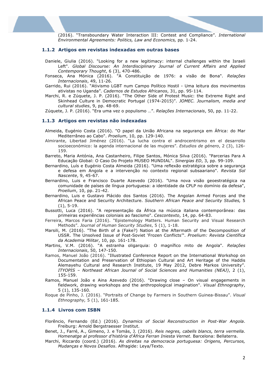(2016). "Transboundary Water Interaction III: Contest and Compliance". *International Environmental Agreements: Politics, Law and Economics,* pp. 1-24.

#### **1.1.2 Artigos em revistas indexadas em outras bases**

- Daniele, Giulia (2016). "Looking for a new legitimacy: internal challenges within the Israeli Left". *Global Discourse: An Interdisciplinary Journal of Current Affairs and Applied Contemporary Thought*, 6 (3), 470-486.
- Fonseca, Ana Mónica (2016). "A Constituição de 1976: a visão de Bona". *Relações Internacionais*, 49, 11-26.
- Garrido, Rui (2016). "Ativismo LGBT num Campo Político Hostil Uma leitura dos movimentos ativistas no Uganda". *Cadernos de Estudos Africanos*, 31, pp. 95-114.
- Marchi, R. e Zúquete, J. P. (2016). "The Other Side of Protest Music: the Extreme Right and Skinhead Culture in Democratic Portugal (1974-2015)". *JOMEC. Journalism, media and cultural studies*, 9, pp. 48-69.

Zúquete, J. P. (2016). "Era uma vez o populismo …". *Relações Internacionais*, 50, pp. 11-22.

#### **1.1.3 Artigos em revistas não indexadas**

- Almeida, Eugénio Costa (2016). "O papel da União Africana na segurança em África: do Mar Mediterrâneo ao Cabo". *Proelium*, 10, pp. 129-140.
- Almirante, Libertad Jiménez (2016). "La lucha contra el androcentrismo en el desarrollo socioeconómico: la agenda internacional de las mujeres". *Estudios de género*, 2 (3), 126- 159.
- Barreto, Maria Antónia, Ana Castanheiro, Filipe Santos, Mónica Silva (2016). "Parcerias Para A Educação Global: O Caso Do Projeto MUSEO MUNDIAL". *Sinergias ED*, 3, pp. 99-109.
- Bernardino, Luís e Eugénio Costa Almeida (2016). "Uma reflexão estratégica sobre a segurança e defesa em Angola e a intervenção no contexto regional subsaariano". *Revista Sol Nascente*, 9, 45-67.
- Bernardino, Luis e Francisco Duarte Azevedo (2016). "Uma nova visão geoestratégica na comunidade de países de língua portuguesa: a identidade da CPLP no domínio da defesa", *Proelium*, 10, pp. 21-42.
- Bernardino, Luis e Gustavo Plácido dos Santos (2016). The Angolan Armed Forces and the African Peace and Security Architecture. *Southern African Peace and Security Studies,* 5 (1), 5-19.
- Bussotti, Luca (2016). "A representação da África na música italiana contemporânea: das primeiras experiências coloniais ao fascismo". *Cescontexto*, 14, pp. 64-83.
- Ferreira, Marcos Faria (2016). "Epistemology Matters. Human Security and Visual Research Methods". *Journal of Human Security Studies*, 5 (1), 1-18.
- Marsili, M. (2016). "The Birth of a (Fake?) Nation at the Aftermath of the Decomposition of USSR. The Unsolved Issue of Post-Soviet 'Frozen Conflicts'". *Proelium: Revista Científica da Academia Militar*, 10, pp. 161-178.
- Martins, V.M. (2016). "A estranha oligarquia: O magnífico mito de Angola". *Relações Internacionais*, 50, 147-150.
- Ramos, Manuel João (2016). "Illustrated Conference Report on the International Workshop on Documentation and Preservation of Ethiopian Cultural and Art Heritage of the Haddis Alemayehu Cultural and Research Institute, 19 May 2012, Debre Markos University". *ITYOP̣IS – Northeast African Journal of Social Sciences and Humanities (NEAJ)*, 2 (1), 155-159.
- Ramos, Manuel João e Aina Azevedo (2016). "Drawing close On visual engagements in fieldwork, drawing workshops and the anthropological imagination". *Visual Ethnography*, 5 (1), 135-160.
- Roque de Pinho, J. (2016). "Portraits of Change by Farmers in Southern Guinea-Bissau". *Visual Ethnography,* 5 (1), 161-185.

#### **1.1.4 Livros com ISBN**

- Florêncio, Fernando (Ed.) (2016). *Dynamics of Social Reconstruction in Post-War Angola*. Freiburg: Arnold Bergstraesser Institut.
- Benet, J., Farré, A., Gimeno, J. e Tomàs, J. (2016). *Reis negres, cabells blancs, terra vermella. Homenatge al professor d'història d'Àfrica Ferran Iniesta Vernet*. Barcelona: Bellaterra.
- Marchi, Riccardo (coord.) (2016). *As direitas na democracia portuguesa: Origens, Percursos, Mudanças e Novos Desafios*. Alfragide: Leya/Texto.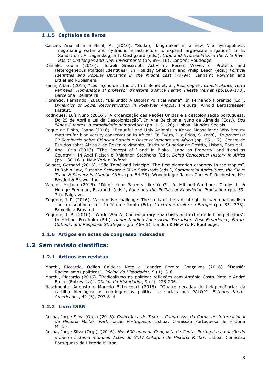#### **1.1.5 Capítulos de livros**

- Cascão, Ana Elisa e Nicol, A. (2016). "Sudan, 'kingmaker' in a new Nile hydropolitics: negotiating water and hydraulic infrastructure to expand large-scale irrigation". In E. Sandström, A. Jägerskog, e T. Oestigaard (eds.), *Land and Hydropolitics in the Nile River Basin: Challenges and New Investments* (pp. 89-116). London: Routledge.
- Daniele, Giulia (2016). "Israeli Grassroots Activism: Recent Waves of Protests and Heterogeneous Political Identities". In Holliday Shabnam and Philip Leech (eds.) *Political Identities and Popular Uprisings in the Middle East* (77-94). Lanham: Rowman and Littlefield Publishers.
- Farré, Albert (2016) "Les lliçons de L'Índic". In J. Benet et. al., *Reis negres, cabells blancs, terra*  vermella. Homenatge al professor d'història d'Africa Ferran Iniesta Vernet (pp.169-178). Barcelona: Bellaterra.
- Florêncio, Fernando (2016). "Bailundo: A Bipolar Political Arena". In Fernando Florêncio (Ed.), *Dynamics of Social Reconstruction in Post-War Angola*. Freiburg: Arnold Bergstraesser Institut.
- Rodrigues, Luís Nuno (2016). "A organização das Nações Unidas e a descolonização portuguesa. Do 25 de Abril à Lei da Descolonização". In Ana Belchior e Nuno de Almeida (Eds.), *Dos "Anos Quentes" à estabilidade democrática* (pp. 113-126). Lisboa: Mundos Sociais.
- Roque de Pinho, Joana (2016). "Beautiful and Ugly Animals in Kenya Maasailand: Why beauty matters for biodiversity conservation in Africa". In Évora, I. e Frias, S. (eds), *In progress: 2º Seminário sobre Ciências Sociais e Desenvolvimento em África* (pp. 96-117). Centro de Estudos sobre Africa e do Desenvolvimento, Instituto Superior de Gestão, Lisbon, Portugal.
- Sá, Ana Lúcia (2016). "The Concept of 'Land' in Bioko: 'Land as Property' and 'Land as Country'". In Axel Fleisch e Rhiannon Stephens (Ed.), *Doing Conceptual History in Africa* (pp. 138-161). New York e Oxford.
- Seibert, Gerhard (2016). "São Tomé and Príncipe: The first plantation economy in the tropics". In Robin Law, Suzanne Schwarz e Silke Strickrodt (eds.), *Commercial Agriculture, the Slave Trade & Slavery in Atlantic Africa* (pp. 54-78). Woodbridge: James Currey & Rochester, NY: Boydell & Brewer Inc.
- Vargas, Mojana (2016). "Didn't Your Parents Like You?". In Mitchell-Walthour, Gladys L. & Hordge-Freeman, Elizabeth (eds.), *Race and the Politics of Knowledge Production* (pp. 59- 74). Palgrave.
- Zúquete, J. P. (2016). "A cognitive challenge: The study of the radical right between nationalism and transnationalism". In Jérôme Jamin (Ed.), *L'extrême droite en Europe* (pp. 351-378). Bruxelles: Bruylant.
- Zúquete, J. P. (2016). "World War A: Contemporary anarchists and extreme left perpetrators". In Michael Fredholm (Ed.), *Understanding Lone Actor Terrorism: Past Experience, Future Outlook, and Response Strategies* (pp. 46-65). London & New York: Routledge.

#### **1.1.6 Artigos em actas de congresso indexadas**

#### **1.2 Sem revisão científica:**

#### **1.2.1 Artigos em revistas**

- Marchi, Riccardo, Odilon Caldeira Neto e Leandro Pereira Gonçalves (2016). "Dossiê: Radicalismos políticos". *Oficina do Historiador*, 9 (1), 3-6.
- Marchi, Riccardo (2016). "Radicalismo na política: reflexões com António Costa Pinto e André Freire (Entrevista)", *Oficina do Historiador*, 9 (1), 228-236.
- Nascimento, Augusto e Marcelo Bittencourt (2016). "Quatro décadas de independência: da cartilha ideológica às contingências políticas e sociais nos PALOP". *Estudos Ibero-Americanos*, 42 (3), 797-814.

#### **1.2.2 Livro ISBN**

- Rocha, Jorge Silva (Org.) (2016). *Colectânea de Textos. Congressos da Comissão Internacional de História Militar. Participação Portuguesa*. Lisboa: Comissão Portuguesa de História Militar.
- Rocha, Jorge Silva (Org.). (2016). *Nos 600 anos da Conquista de Ceuta. Portugal e a criação do primeiro sistema mundial. Actas do XXIV Colóquio de História Militar*. Lisboa: Comissão Portuguesa de História Militar.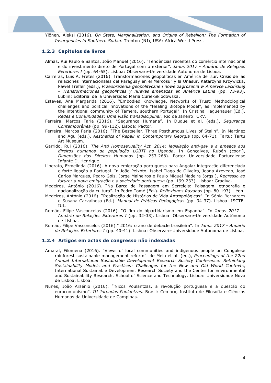Ylönen, Aleksi (2016). *On State, Marginalization, and Origins of Rebellion: The Formation of Insurgencies in Southern Sudan*. Trenton (NJ), USA: Africa World Press.

#### **1.2.3 Capítulos de livros**

- Almas, Rui Paulo e Santos, João Manuel (2016). "Tendências recentes do comércio internacional e do investimento direto de Portugal com o exterior". *Janus 2017 - Anuário de Relações Exteriores I* (pp. 64-65). Lisboa: Observare-Universidade Autónoma de Lisboa.
- Carreras, Luis A. Fretes (2016). Transformaciones geopolíticas en América del sur. Crisis de las relaciones internacionales del Paraguay en el Mercosur y la Unasur. Katarzyna Krzywicka, Paweł Trefler (eds.), *Przeobrażenia geopolityczne i nowe zagrożenia w Ameryce Lacińskiej - Transformaciones geopolíticas y nuevas amenazas en América Latina* (pp. 73-93). Lublin: Editorial de la Universidad Maria Curie-Sklodowska.
- Esteves, Ana Margarida (2016). "Embodied Knowledge, Networks of Trust: Methodological challenges and political innovations of the "Healing Biotope Model", as implemented by the intentional community of Tamera, southern Portugal". In Cristina Haguenauer (Ed.). *Redes e Comunidades: Uma visão transdisciplinar*. Rio de Janeiro: CRV.
- Ferreira, Marcos Faria (2016). "Segurança Humana". In Duque et al. (eds.), *Segurança Contemporânea* (pp. 99-112). Lisboa: Pactor.
- Ferreira, Marcos Faria (2016). "The Bestseller. Three Posthumous Lives of Stalin". In Martínez and Agu (eds.), *Aesthetics of Repair in Contemporary Georgia* (pp. 64-71). Tartu: Tartu Art Museum.
- Garrido, Rui (2016). *The Anti Homosexuality Act, 2014: legislação anti-gay e a ameaça aos direitos humanos da população LGBTI no Uganda*. In Gonçalves, Rubén (coor.), *Dimensões dos Direitos Humanos* (pp. 253-268)*.* Porto: Universidade Portucalense Infante D. Henrique.
- Liberato, Ermelinda (2016). A nova emigração portuguesa para Angola: integração diferenciada e forte ligação a Portugal. In João Peixoto, Isabel Tiago de Oliveira, Joana Azevedo, José Carlos Marques, Pedro Góis, Jorge Malheiros e Paulo Miguel Madeira (orgs.), *Regresso ao futuro: a nova emigração e a sociedade portuguesa* (pp. 199-233). Lisboa: Gradiva.
- Medeiros, António (2016). "Na Barca de Passagem em Serreleis: Paisagem, etnografia e nacionalização da cultura". In Pedro Tomé (Ed.). *Reflexiones Rayanas* (pp. 80-193). Léon
- Medeiros, António (2016). "Realização de Histórias de Vida Antropológicas". In Sónia Bernardes e Susana Carvalhosa (Ed.). *Manual de Práticas Pedagógicas* (pp. 34-37). Lisboa: ISCTE-IUL.
- Romão, Filipe Vasconcelos (2016). "O fim do bipartidarismo em Espanha". In *Janus 2017 — Anuário de Relações Exteriores I* (pp. 32-33). Lisboa: Observare-Universidade Autónoma de Lisboa.
- Romão, Filipe Vasconcelos (2016)." 2016: o ano de debacle brasileira". In *Janus 2017 - Anuário de Relações Exteriores I* (pp. 40-41). Lisboa: Observare-Universidade Autónoma de Lisboa.

#### **1.2.4 Artigos em actas de congresso não indexadas**

- Amaral, Filomena (2016). "Views of local communities and indigenous people on Congolese rainforest sustainable management reform". de Melo et al. (ed.), *Proceedings of the 22nd Annual International Sustainable Development Research Society Conference: Rethinking Sustainability Models and Practices: Challenges for the New and Old World Contexts*, International Sustainable Development Research Society and the Center for Environmental and Sustainability Research, School of Science and Technology. Lisboa: Universidade Nova de Lisboa, Lisboa.
- Nunes, João Arsénio (2016). "Nicos Poulantzas, a revolução portuguesa e a questão do eurocomunismo". *III Jornadas Poulantzas*. Brasil: Cemarx, Instituto de Filosofia e Ciências Humanas da Universidade de Campinas.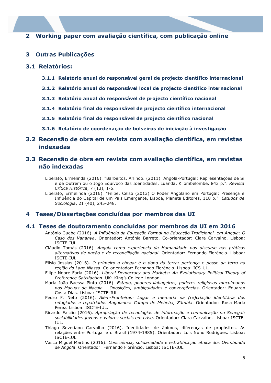# **2 Working paper com avaliação científica, com publicação online**

# **3 Outras Publicações**

### **3.1 Relatórios:**

- **3.1.1 Relatório anual do responsável geral de projecto científico internacional**
- **3.1.2 Relatório anual do responsável local de projecto científico internacional**
- **3.1.3 Relatório anual do responsável de projecto científico nacional**
- **3.1.4 Relatório final do responsável de projecto científico internacional**
- **3.1.5 Relatório final do responsável de projecto científico nacional**
- **3.1.6 Relatório de coordenação de bolseiros de iniciação à investigação**

# **3.2 Recensão de obra em revista com avaliação científica, em revistas indexadas**

# **3.3 Recensão de obra em revista com avaliação científica, em revistas não indexadas**

Liberato, Ermelinda (2016). "Barbeitos, Arlindo. (2011). Angola-Portugal: Representações de Si e de Outrem ou o Jogo Equívoco das Identidades, Luanda, Kilombelombe. 843 p.". *Revista Crítica Histórica*, 7 (13), 1-5.

Liberato, Ermelinda (2016). "Filipe, Celso (2013) O Poder Angolano em Portugal: Presença e Influência do Capital de um Pais Emergente, Lisboa, Planeta Editores, 118 p.". *Estudos de Sociologia*, 21 (40), 245-248.

# **4 Teses/Dissertações concluídas por membros das UI**

#### **4.1 Teses de doutoramento concluídas por membros da UI em 2016**

- António Guebe (2016). *A Influência da Educação Formal na Educação Tradicional, em Angola: O Caso dos Vahanya*. Orientador: Antónia Barreto. Co-orientador: Clara Carvalho. Lisboa: ISCTE-IUL.
- Cláudio Tomás (2016). *Angola como experiencia da Humanidade nos discurso nas práticas alternativas de nação e de reconciliação nacional*. Orientador: Fernando Florêncio. Lisboa: ISCTE-IUL.
- Elisio Jossias (2016). *O primeiro a chegar é o dono da terra: pertença e posse da terra na região do Lago Niassa*. Co-orientador: Fernando Florêncio. Lisboa: ICS-UL.
- Filipe Nobre Faria (2016). *Liberal Democracy and Markets: An Evolutionary Political Theory of Preference Satisfaction*. UK: King's College London.
- Maria João Baessa Pinto (2016). *Estado, poderes linhageiros, poderes religiosos muçulmanos nos Macuas de Nacala – Oposições, ambiguidades e convergências*. Orientador: Eduardo Costa Dias. Lisboa: ISCTE-IUL.
- Pedro F. Neto (2016). *Além-Fronteiras: Lugar e memória na (re)criação identitária dos refugiados e repatriados Angolanos: Campo de Meheba, Zâmbia*. Orientador: Rosa Maria Perez. Lisboa: ISCTE-IUL.
- Ricardo Falcão (2016). *Apropriação de tecnologias de informação e comunicação no Senegal: sociabilidades jovens e valores sociais em crise*. Orientador: Clara Carvalho. Lisboa: ISCTE-IUL.
- Thiago Severiano Carvalho (2016). Identidades de ânimos, diferenças de propósitos. As relações entre Portugal e o Brasil (1974-1985). Orientador: Luís Nuno Rodrigues. Lisboa: ISCTE-IUL.
- Vasco Miguel Martins (2016). *Consciência, solidariedade e estratificação étnica dos Ovimbundu de Angola*. Orientador: Fernando Florêncio. Lisboa: ISCTE-IUL.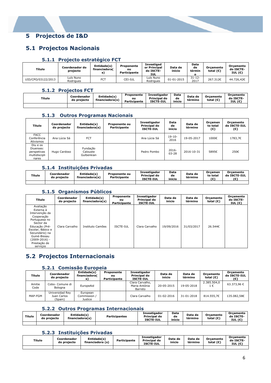# **5 Projectos de I&D**

# **5.1 Projectos Nacionais**

# **5.1.1 Projecto estratégico FCT**

| Título             | Coordenador do<br>projecto | Entidade(s)<br>financiadora(<br>s | Proponente<br>ou<br>Participante | <b>Investigad</b><br>or Principal<br>do ISCTE-<br>IUL | Data de<br>inicio | Data<br>de<br>términ | Orcamento<br>total $(\epsilon)$ | Orcamento<br>do ISCTE-<br>IUL $(\epsilon)$ |
|--------------------|----------------------------|-----------------------------------|----------------------------------|-------------------------------------------------------|-------------------|----------------------|---------------------------------|--------------------------------------------|
| UID/CPO/03122/2013 | Luís Nuno<br>Rodrigues     | FC <sub>1</sub>                   | CEI-IUL                          | Luís Nuno<br>Rodrigues                                | 01-01-2015        | $31 - 12 -$<br>2017  | 267.312€                        | 44.726.42€                                 |

#### **5.1.2 Projectos FCT**

| _______ |                            |                                |                                  |                                                         |                      |                    |                                 |                                            |
|---------|----------------------------|--------------------------------|----------------------------------|---------------------------------------------------------|----------------------|--------------------|---------------------------------|--------------------------------------------|
| Título  | Coordenador<br>do projecto | Entidade(s)<br>financiadora(s) | Proponente<br>ou<br>Participante | <b>Investigador</b><br>Principal do<br><b>ISCTE-IUL</b> | Data<br>de<br>inicio | Data de<br>término | Orcamento<br>total $(\epsilon)$ | Orcamento<br>do ISCTE-<br>IUL $(\epsilon)$ |
|         |                            |                                |                                  |                                                         |                      |                    |                                 |                                            |

#### **5.1.3 Outros Programas Nacionais**

| Título                                                         | Coordenador<br>do projecto | Entidade(s)<br>financiadora(s)     | <b>Proponente ou</b><br>Participante | <b>Investigador</b><br>Principal do<br><b>ISCTE-IUL</b> | Data<br>de<br>inicio | Data de<br>término | <b>Orcamen</b><br>to total<br>(€) | Orcamento<br>do ISCTE-IUL<br>(€) |
|----------------------------------------------------------------|----------------------------|------------------------------------|--------------------------------------|---------------------------------------------------------|----------------------|--------------------|-----------------------------------|----------------------------------|
| <b>FACC</b><br>Conferência<br>Ativismos                        | Ana Lúcia Sá               | <b>FCT</b>                         |                                      | Ana Lúcia Sá                                            | $19-10-$<br>2016     | 19-05-2017         | 1000€                             | 1783,7€                          |
| Diu e os<br>Diuenses:<br>perspetivas<br>multidiscipli<br>nares | Hugo Cardoso               | Fundação<br>Calouste<br>Gulbenkian |                                      | Pedro Pombo                                             | 2016-<br>$03 - 28$   | 2016-10-31         | 5895€                             | 250€                             |

#### **5.1.4 Instituições Privadas**

| Título | Coordenador<br>do projecto | Entidade(s)<br>financiadora(s) | Proponente ou<br>Participante | <b>Investigador</b><br>Principal do<br><b>ISCTE-IUL</b> | Data<br>de<br>inicio | Data de<br>término | Orcamen<br>to total<br>$\epsilon$ | Orcamento<br>do ISCTE-IUL<br>(€` |
|--------|----------------------------|--------------------------------|-------------------------------|---------------------------------------------------------|----------------------|--------------------|-----------------------------------|----------------------------------|
|        |                            |                                |                               |                                                         |                      |                    |                                   |                                  |

#### **5.1.5 Organismos Públicos**

| Título                                                                                                                                                                                                     | Coordenador<br>do projecto | Entidade(s)<br>financiadora(s) | Proponente<br>ou<br>Participante | <b>Investigador</b><br>Principal do<br><b>ISCTE-IUL</b> | Data de<br>inicio | Data de<br>término | Orçamento<br>total $(\epsilon)$ | Orcamento<br>do ISCTE-<br>IUL $(\epsilon)$ |
|------------------------------------------------------------------------------------------------------------------------------------------------------------------------------------------------------------|----------------------------|--------------------------------|----------------------------------|---------------------------------------------------------|-------------------|--------------------|---------------------------------|--------------------------------------------|
| Avaliação<br>Externa à<br>Intervenção da<br>Cooperação<br>Portuguesa no<br>Sector da<br>Educação (Pré-<br>Escolar, Básico e<br>Secundário) na<br>Guiné-Bissau<br>(2009-2016) -<br>Prestação de<br>servicos | Clara Carvalho             | Instituto Camões               | ISCTE-IUL                        | Clara Carvalho                                          | 19/09/2016        | 31/03/2017         | 26.544€                         |                                            |

# **5.2 Projectos Internacionais**

#### **5.2.1 Comissão Europeia**

| Título         | Coordenador<br>do projecto                | Entidade(s)<br>financiadora(<br>s)  | Proponente<br>oц<br><b>Participante</b> | <b>Investigador</b><br>Principal do<br><b>ISCTE-IUL</b> | Data de<br>início | Data de<br>término | Orcamento<br>total $(\epsilon)$ | Orcamento<br>do ISCTE-IUL<br>(€) |
|----------------|-------------------------------------------|-------------------------------------|-----------------------------------------|---------------------------------------------------------|-------------------|--------------------|---------------------------------|----------------------------------|
| Amitie<br>Code | Cobo- Comune di<br>Bologna                | EuropeAid                           |                                         | Clara Carvalho,<br>Maria Antónia<br>Barreto             | 20-05-2015        | 19-05-2018         | 2.385.504,0<br>$1 \in$          | 63.373.96 €                      |
| MAP-FGM        | Universidad Rey<br>Juan Carlos<br>(Spain) | European<br>Commission /<br>Justice |                                         | Clara Carvalho                                          | $01 - 02 - 2016$  | 31-01-2018         | 814.555.7€                      | 135.082.58€                      |

# **5.2.2 Outros Programas Internacionais**

| Título | Coordenador<br>do projecto | Entidade(s)<br>financiadora(s) | <b>Participantes</b> | Investigador<br>Principal do<br><b>ISCTE-IUL</b> | Data<br>de<br>início | Data de<br>termino | Orcamento<br>total $(\epsilon)$ | Orcamento<br>do ISCTE-<br>IUL $(\epsilon)$ |
|--------|----------------------------|--------------------------------|----------------------|--------------------------------------------------|----------------------|--------------------|---------------------------------|--------------------------------------------|
|        |                            |                                |                      |                                                  |                      |                    |                                 |                                            |

# **5.2.3 Instituições Privadas**

| Título | Coordenador<br>do projecto | Entidade(s)<br>financiadora (s) | Participante | <b>Investigador</b><br>Principal do<br><b>ISCTE-IUL</b> | Data de<br>inicio | Data de<br>termino | Orcamento<br>total (€) | Orcamento<br>do ISCTE-<br>IUL $(\epsilon)$ |
|--------|----------------------------|---------------------------------|--------------|---------------------------------------------------------|-------------------|--------------------|------------------------|--------------------------------------------|
|        |                            |                                 |              |                                                         |                   |                    |                        |                                            |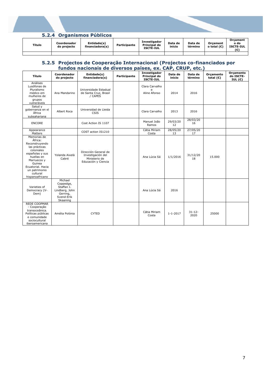| 5.2.4 Organismos Públicos |  |
|---------------------------|--|
|                           |  |

| Título | Coordenador<br>do projecto | Entidade(s)<br>financiadora(s) | Participante | <b>Investigador</b><br>Principal do<br><b>ISCTE-IUL</b> | Data de<br>inicio | Data de<br>término | Orcament<br>o total $(E)$ | Orcament<br>o do<br><b>ISCTE-IUL</b> |
|--------|----------------------------|--------------------------------|--------------|---------------------------------------------------------|-------------------|--------------------|---------------------------|--------------------------------------|
|        |                            |                                |              |                                                         |                   |                    |                           |                                      |

#### **5.2.5 Projectos de Cooperação Internacional (Projectos co-financiados por fundos nacionais de diversos países, ex. CAP, CRUP, etc.)**

| Título                                                                                                                                                                                                 | Coordenador<br>do projecto                                                                 | Entidade(s)<br>financiadora(s)                                                    | Participante | Investigador<br>Principal do<br>ISCTE-IUL | Data de<br>inicio | Data de<br>término  | Orcamento<br>total $(\epsilon)$ | Orçamento<br>do ISCTE-<br>IUL $(\epsilon)$ |
|--------------------------------------------------------------------------------------------------------------------------------------------------------------------------------------------------------|--------------------------------------------------------------------------------------------|-----------------------------------------------------------------------------------|--------------|-------------------------------------------|-------------------|---------------------|---------------------------------|--------------------------------------------|
| Análises<br>Lusófonas de<br>Pluralismo<br>médico em<br>mulheres de<br>grupos<br>vulneráveis                                                                                                            | Ana Mandarino                                                                              | Universidade Estadual<br>de Santa Cruz, Brasil<br>/ CAPES                         |              | Clara Carvalho<br>e<br>Aline Afonso       | 2014              | 2016                |                                 |                                            |
| Salud y<br>gobernanza en el<br>África<br>subsahariana                                                                                                                                                  | Albert Roca                                                                                | Universidad de Lleida<br>CSIS                                                     |              | Clara Carvalho                            | 2013              | 2016                |                                 |                                            |
| <b>ENCORE</b>                                                                                                                                                                                          |                                                                                            | Cost Action IS 1107                                                               |              | Manuel João<br>Ramos                      | 29/03/20<br>12    | 28/03/20<br>16      |                                 |                                            |
| Appearance<br>Matters                                                                                                                                                                                  |                                                                                            | COST action IS1210                                                                |              | Cátia Miriam<br>Costa                     | 28/05/20<br>13    | 27/05/20<br>17      |                                 |                                            |
| Memorias de<br>África:<br>Reconstruyendo<br>las prácticas<br>coloniales<br>españolas y sus<br>huellas en<br>Marruecos y<br>Guinea<br>Ecuatorial, Hacia<br>un patrimonio<br>cultural<br>hispanoafricano | Yolanda Aixelà<br>Cabré                                                                    | Dirección General de<br>Investigación del<br>Ministerio de<br>Educación y Ciencia |              | Ana Lúcia Sá                              | 1/1/2016          | 31/12/20<br>18      | 15.000                          |                                            |
| Varieties of<br>Democracy (V-<br>Dem)                                                                                                                                                                  | Michael<br>Coppedge,<br>Staffan I.<br>Lindberg, John<br>Gerring,<br>Svend-Erik<br>Skaaning |                                                                                   |              | Ana Lúcia Sá                              | 2016              |                     |                                 |                                            |
| <b>REDE COOPMAR</b><br>- Cooperação<br>transoceânica.<br>Políticas públicas<br>e comunidade<br>sociocultural<br>iberoamericana                                                                         | Amélia Polónia                                                                             | <b>CYTED</b>                                                                      |              | Cátia Miriam<br>Costa                     | $1 - 1 - 2017$    | $31 - 12 -$<br>2020 | 25000                           |                                            |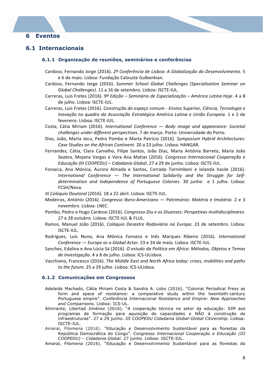# **6 Eventos**

# **6.1 Internacionais**

#### **6.1.1 Organização de reuniões, seminários e conferências**

- Cardoso, Fernando Jorge (2016). 2º Conferência de Lisboa: A Globalização do Desenvolvimento. 5 e 6 de maio. Lisboa: Fundação Calouste Gulbenkian.
- Cardoso, Fernando Jorge (2016). *Summer School Global Challenges (Specialisation Seminar on Global Challenges)*. 11 a 16 de setembro. Lisboa: ISCTE-IUL.
- Carreras, Luis Fretes (2016). 9º Edição Seminário de Especialização América Latina Hoje. 4 a 8 de julho. Lisboa: ISCTE-IUL.
- Carreras, Luis Fretes (2016). Construção do espaço comum Ensino Superior, Ciência, Tecnologia e *Inovação no quadro da Associação Estratégica América Latina e União Europeia.* 1 e 2 de fevereiro. Lisboa: ISCTE-IUL.
- Costa, Cátia Miriam (2016). *International Conference*  $-$  *Body image and appearance: Societal challenges under different perspectives*. 7 de março. Porto: Universidade do Porto.
- Dias, João, Marta Jecu, Pedro Pombo e Marta Patrício (2016). Symposium Hybrid Architectures: Case Studies on the African Continent. 20 a 23 julho. Lisboa: HANGAR.
- Fernandes, Cátia, Clara Carvalho, Filipe Santos, João Dias, Maria Antónia Barreto, Maria João Seabra, Mojana Vargas e Vera Ana Matias (2016). *Congresso Internacional Cooperação e Educação (III COOPEDU) – Cidadania Global*. 27 a 29 de junho. Lisboa: ISCTE-IUL.
- Fonseca, Ana Mónica, Aurora Almada e Santos, Corrado Tornimbeni e Iolanda Vasile (2016). International Conference — The International Solidarity and the Struggle for Selfdetermination and Independence of Portuguese Colonies. 30 junho e 1 julho. Lisboa: FCSH/Nova.
- *III Colóquio Doutoral* (2016). 18 a 22 abril. Lisboa: ISCTE-IUL.
- Medeiros, António (2016). Congresso Ibero-Americano Património: Matéria e Imatéria. 2 e 3 novembro. Lisboa: LNEC.
- Pombo, Pedro e Hugo Cardoso (2016). *Congresso Diu e os Diuenses: Perspetivas multidisciplinares.* 27 e 28 outubro. Lisboa: ISCTE-IUL & FLUL.
- Ramos, Manuel João (2016). *Colóquio Desastre Rodoviário na Europa*. 23 de setembro. Lisboa: ISCTE-IUL.
- Rodrigues, Luís Nuno, Ana Mónica Fonseca e Inês Marques Ribeiro (2016). *International Conference* — *Europe as a Global Actor*. 23 e 24 de maio. Lisboa: ISCTE-IUL.
- Sanches, Edalina e Ana Lúcia Sá (2016). *O estudo da Política em África: Métodos, Objetos e Temas* de Investigação. 4 a 8 de julho. Lisboa: ICS-ULisboa.
- Vacchiano, Francesco (2016). The Middle East and North Africa today: crises, mobilities and paths to the future. 25 a 29 julho. Lisboa: ICS-ULisboa.

#### **6.1.2 Comunicações em Congressos**

- Adelaide Machado, Cátia Miriam Costa & Sandra A. Lobo (2016). "Colonial Periodical Press as form and space of resistance: a comparative study within the twentieth-century Portuguese empire". *Conferência Internacional Resistance and Empire: New Approaches and Com*parisons. Lisboa: ICS-UL.
- Almirante, Libertad Jiménez (2016). "A cooperação técnica no setor da educação: SIM aos programas de formação para aquisição de capacidades e NÃO à construção de infraestruturas". 27 a 29 junho. *III COOPEDU Cidadania Global-Global Citizenship*. Lisboa: ISCTE-IUL.
- Amaral, Filomena (2016). "Educação e Desenvolvimento Sustentável para as florestas da República Democrática do Congo". *Congresso Internacional Cooperação e Educação (III COOPEDU) – Cidadania Global*. 27 junho. Lisboa: ISCTE-IUL.
- Amaral, Filomena (2016). "Educação e Desenvolvimento Sustentável para as florestas da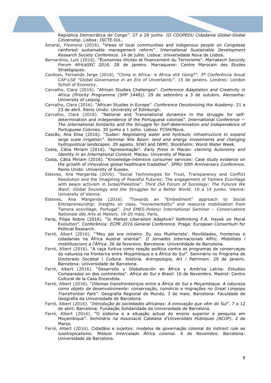República Democrática do Congo". 27 a 29 junho. *III COOPEDU Cidadania Global-Global Citizenship*. Lisboa: ISCTE-IUL.

- Amaral, Filomena (2016). "Views of local communities and indigenous people on Congolese rainforest sustainable management reform". *International Sustainable Development Research Society Conference*. 14 de julho. Lisboa: Universidade Nova de Lisboa.
- Bernardino, Luis (2016). "Économies illicites et financement du Terrorisme". *Marrakech Security Forum AfricaSEC 2016*. 28 de janeiro. Marraquexe: Centre Marocain des Etudes Stratégiques.
- Cardoso, Fernando Jorge (2016). "China in Africa: is Africa still rising?". *3ª Conferência Anual CAF-LSE "Global Governance in an Era of Uncertainty"*. 15 de janeiro. Londres: London Scholl of Economy.
- Carvalho, Clara (2016). "African Studies Challenges". *Conference Adaptation and Creativity in Africa (Priority Programme (SPP 1448))*. 29 de setembro a 3 de outubro. Alemanha: University of Leipzig.
- Carvalho, Clara (2016). "African Studies in Europe". *Conference Decolonizing the Academy*. 21 a 23 de abril. Reino Unido: University of Edinburgh.
- Carvalho, Clara (2016). "National and Transnational dynamics in the struggle for selfdetermination and independence of the Portuguese colonies". *International Conference — The International Solidarity and the Struggle for Self-determination and Independence of Portuguese Colonies.* 30 junho a 1 julho. Lisboa: FCSH/Nova.
- Cascão, Ana Elisa (2016). "*Sudan: Negotiating water and hydraulic infrastructure to expand large scale irrigation"*. *Seminar Nile Basin: land and energy investments and changing hydropolitical landscapes*. 29 agosto. SIWI and IWMI. Stockholm: World Water Week.
- Costa, Cátia Miriam (2016). "Apresentação". *Early Press in Macao: claiming Autonomy and Identity in an International Context.* Macau: University of Macao.
- Costa, Cátia Miriam (2016). "Knowledge-intensive consumer services: Case study evidence on the growth of innovative global healthcare tradables". *SPRU 50th Anniversary Conference*. Reino Unido: University of Sussex.
- Esteves, Ana Margarida (2016). "Social Technologies for Trust, Transparency and Conflict Resolution and the Imagining of Peaceful Futures: The engagement of Tamera Ecovillage with peace activism in Israel/Palestine". *Third ISA Forum of Sociology: The Futures We Want: Global Sociology and the Struggles for a Better World*. 10 a 14 junho. Vienna: University of Vienna.
- Esteves, Ana Margarida (2016). *"*Towards an "Embedment" approach to Social Entrepreneurship: Insights on class, "movementality" and resource mobilization from Tamera ecovillage, Portugal". *2nd EMES-Polanyi International Seminar – Conservatoire Nationale dês Arts et Metiers*. 19-20 maio. Paris.
- Faria, Filipe Nobre (2016). "Is Market Liberalism Adaptive? Rethinking F.A. Hayek on Moral Evolution". Conferência: *ECPR 2016 General Conference*. Praga: European Consortium for Political Research.
- Farré, Albert (2016). "'Meu pai era mineiro. Eu sou Mukherista'. Movilidades, fronteiras e cidadanias na África Austral oriental". *II Jornades Internacionals Affric. Mobilitats i mobilitzacions a l'Àfrica*. 26 de fevereiro. Barcelona: Univerdidade de Barcelona.
- Farré, Albert (2016). "A caça furtiva como reação política contra os programas de conservaçao da natureza na fronterira entre Moçambique e a África do Sul". Seminário no Programa de Doctorado *Societat i Cultura. Història. Antropologia, Art i Patrimoni*. 29 de janeiro. Barcelona: Universidade de Barcelona.
- Farré, Albert (2016). "Desarrollo y Globalización en África y América Latina: Estudios Comparados en dos continentes". *Africa do Sul e Brasil*. 16 de Novembro. Madrid: Centro Cultural de la Casa Encendida.
- Farré, Albert (2016). "*Dilemas transfronteiriços entre a África do Sul e Moçambique. A natureza como objeto de desenvolvimento: conservação, comércio e migrações no Great Limpopo Transfrontier Park"*. Geografia Regional do Mundo*.* 3 de maio. Barcelona: Faculdade de Geografia da Universidade de Barcelona.
- Farré, Albert (2016). "*Introdução às sociedades africanas: A innovação que vêm do Sul".* 7 a 12 de abril. Barcelona: Fundação Solidaridade da Universidade de Barcelona.
- Farré, Albert (2016). "O sistema e a situação actual do ensino superior e pesquisa em Moçambique*"*. *Seminário na Associació Catalana d'Universitats Públiques (ACUP)*. 2 de Marco.
- Farré, Albert (2016). Cidadãos e sujeitos: modelos de governação colonial do *indirect rule* ao *lusotropicalismo*. *Módulo Intercalado África colonial*. 4 de Novembro. Barcelona: Universidade de Barcelona.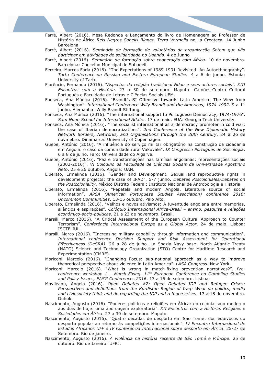- Farré, Albert (2016). Mesa Redonda e Lançamento do livro de Homenagem ao Professor de História de África *Reis Negres Cabells Blancs, Terra Vermella* no La Createca. 14 Junho Barcelona.
- Farré, Albert (2016). *Seminário de formação de voluntários da organização Setem que vão participar em atividades de solidaridade no Uganda*. 4 de Junho
- Farré, Albert (2016). *Seminário de formação sobre cooperação com África*. 10 de novembro. Barcelona: Concelho Municipal de Sabadell.
- Ferreira, Marcos Faria (2016). "The Expectations of 1989-1991 Revisited: An Autoethnography". *Tartu Conference on Russian and Eastern European Studies*. 4 a 6 de junho. Estonia: University of Tartu.
- Florêncio, Fernando (2016). "*Aspectos da religião tradicional Ndau e seus actores sociais"*. *XIII Encontros com a História*. 27 a 30 de setembro. Maputo: Camões-Centro Cultural Português e Faculdade de Letras e Ciências Sociais UEM.
- Fonseca, Ana Mónica (2016). "Brandt's SI Offensive towards Latin America: The View from Washington". *International Conference Willy Brandt and the Americas, 1974-1992*. 9 a 11 junho. Alemanha: Willy Brandt Stiftung.
- Fonseca, Ana Mónica (2016). "The international support to Portuguese Democracy, 1974-1976". *Sam Nunn School for International Affairs*. 17 de maio. EUA: Georgia Tech University.
- Fonseca, Ana Mónica (2016). "The socialist international as a democracy promoter in cold war: the case of Iberian democratizations". *2nd Conference of the New Diplomatic History Network Borders, Networks, and Organisations through the 20th Century*. 24 a 26 de novmebro. Dinamarca: University of Copenhagen.
- Guebe, António (2016). "A influência do serviço militar obrigatório na construção da cidadania em Angola: o caso da comunidade rural Vakuvale". *IX Congresso Português de Sociologia*. 6 a 8 de julho. Faro: Universidade do Algarve.
- Guebe, António (2016). "Paz e transformações nas famílias angolanas: representações sociais (2002-2016)". *VI Colóquio da Faculdade de Ciências Sociais da Universidade Agostinho Neto*. 25 e 26 outubro. Angola: UAN.
- Liberato, Ermelinda (2016). "Gender and Development. Sexual and reproductive rights in development projects: the case of IPAD". 5-7 junho. *Debates Poscoloniales/Debates on the Postcoloniality*. México Distrito Federal: Instituto Nacional de Antropologia e Historia.
- Liberato, Ermelinda (2016). "Pepetela and modern Angola. Literature source of social information". *APSA (American Portuguese Studies Association) conference 2016: Uncommon Communities*. 13-15 outubro. Palo Alto.
- Liberato, Ermelinda (2016). "Velhos e novos ativismos: A juventude angolana entre memorias, silêncios e aspirações". *Colóquio Internacional Africa-Brasil – ensino, pesquisa e relações económico-socio-politicas*. 21 a 23 de novembro. Brasil.
- Marsili, Marco (2016). "A Critical Assessment of the European Cultural Approach to Counter Terrorism". *Conferência Internacional Europe as a Global Actor*. 24 de maio. Lisboa: ISCTE-IUL.
- Marsili, Marco (2016). "Increasing military capability through information and communication". *International conference Decision Support and Risk Assessment for Operational Effectiveness (DeSRA)*. 26 a 28 de julho. La Spezia Navy base: North Atlantic Treaty (NATO) Science and Technology Organization (STO) Centre for Maritime Research and Experimentation (CMRE).
- Moriconi, Marcelo (2016). "Changing Focus: sub-national approach as a way to improve theoretical perspective about violence in Latin America". *LASA Congress*. New York.
- Moriconi, Marcelo (2016). "What is wrong in match-fixing prevention narratives?". *Preconference workshop 1 – Match-Fixing. 11th European Conference on Gambling Studies and Policy Issues, EASG Conferences 2016*. 13 a 16 de setembro. Lisboa.
- Movileanu, Angela (2016). *Open Debates #2: Open Debates IDP and Refugee Crises: Perspectives and definitions from the Kurdistan Region of Iraq: What do politics, media and civil society think and do regarding the IDP and refugee crises*. 17 a 18 de novembro. Duhok.
- Nascimento, Augusto (2016). "Poderes políticos e religiões em África: do colonialismo moderno aos dias de hoje: uma abordagem exploratória". *XII Encontros com a História. Religiões e Sociedades em África*. 27 a 30 de setembro. Maputo.
- Nascimento, Augusto (2016). "Quatro décadas de desporto em São Tomé: dos equívocos do desporto popular ao retorno às competições internacionais". *IV Encontro Internacional de Estudos Africanos UFF e IV Conferência Internacional sobre desporto em África*. 25-27 de Setembro. Rio de janeiro.
- Nascimento, Augusto (2016). *A violência na história recente de São Tomé e Príncipe*. 25 de outubro. Rio de Janeiro: UFRJ.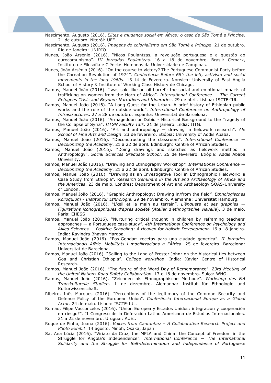Nascimento, Augusto (2016). *Elites e mudança social em África: o caso de São Tomé e Príncipe*. 21 de outubro. Niterói: UFF.

- Nascimento, Augusto (2016). *Imagens do colonialismo em São Tomé e Príncipe*. 21 de outubro. Rio de Janeiro: UNIRIO.
- Nunes, João Arsénio (2016). "Nicos Poulantzas, a revolução portuguesa e a questão do eurocomunismo". *III Jornadas Poulantzas*. 16 a 18 de novembro. Brasil: Cemarx, Instituto de Filosofia e Ciências Humanas da Universidade de Campinas.
- Nunes, João Arsénio (2016). "On the course to victory? The Portuguese Communist Party before the Carnation Revolution of 1974". *Conferência Before 68': the left, activism and social movements in the long 1960s*. 13-14 de Fevereiro. Norwich: University of East Anglia School of History & Institute of Working Class History de Chicago.
- Ramos, Manuel João (2016). "'was sold like an oil barrel': the social and emotional impacts of trafficking on women from the Horn of Africa". *International Conference — The Current Refugees Crisis and Beyond: Narratives and Itineraries*. 29 de abril. Lisboa: ISCTE-IUL.
- Ramos, Manuel João (2016). "A Long Quest for the Urban. A brief history of Ethiopian public works and the role of the outside world". *International Conference on Anthropology of Infrastructures*. 27 a 28 de outubro. Espanha: Universitat de Barcelona.
- Ramos, Manuel João (2016). "Armageddon or Dabiq Historical Background to the Tragedy of the Collapse of Syria". *IITGN Faculty Talk*. 21 de janeiro. India: IITG.
- Ramos, Manuel João (2016). "Art and anthropology drawing in fieldwork research". *Ale School of Fine Arts and Design*. 23 de fevereiro. Etiópia: University of Addis Ababa.
- Ramos, Manuel João (2016). "Deconstructing the classroom". *International Conference — Decolonizing the Academy*. 21 a 22 de abril. Edinburgh: Centre of African Studies.
- Ramos, Manuel João (2016). "Doing drawings and sketches as fieldwork method in Anthropology". *Social Sciences Graduate School*. 25 de fevereiro. Etiópia: Addis Ababa University.
- Ramos, Manuel João (2016). "Drawing and Ethnography Workshop*". International Conference — Decolonizing the Academy*. 21 a 22 de abril. Edinburgh: Centre of African Studies.
- Ramos, Manuel João (2016). "Drawing as an Investigative Tool in Ethnographic Fieldwork: a Case Study from Ethiopia". R*esearch Seminars in the Art and Archaeology of Africa and the Americas*. 23 de maio. Londres: Department of Art and Archaeology SOAS-University of London.
- Ramos, Manuel João (2016). "Graphic Anthropology: Drawing in/from the field*". Ethnologisches Kolloquium - Institut für Ethnologie*. 29 de novembro. Alemanha: Universität Hamburg.
- Ramos, Manuel João (2016). "L'œil et la main au terrain". *L'ênquete et ses graphies — Figurations iconographiques d'après société (Atelier d'ethnographie visuelle*). 3 de maio. Paris: EHESS.
- Ramos, Manuel João (2016). "Nurturing critical thought in children by reframing teachers' approaches — a Portuguese case-study". *4th International Conference on Psychology and Allied Sciences — Positive Schooling: A Heaven for Holistic Development*. 16 a 18 janeiro. India: Ravindra Bhavan Margoa.
- Ramos, Manuel João (2016). "Pos-Gondar: recetas para una ciudade generica". *II Jornades Internacionals Affric. Mobilitats i mobilitzacions a l'Àfrica*. 25 de fevereiro. Barcelona: Universitat de Barcelona.
- Ramos, Manuel João (2016). "Sailing to the Land of Prester John: on the historical ties between Goa and Christian Ethiopia". *College workshop*. India: Xavier Centre of Historical Research.
- Ramos, Manuel João (2016). "The future of the Word Day of Remembrance". *23rd Meeting of the United Nations Road Safety Collaboration*. 17 e 18 de novembro. Suiça: WHO.
- Ramos, Manuel João (2016). "Zeichnen als Ethnographische Methode". *Workshop des MA Transkulturelle Studien*. 1 de dezembro. Alemanha: Institut für Ethnologie und Kulturwissenschaft.
- Ribeiro, Inês Marques (2016). "Perceptions of the legitimacy of the Common Security and Defence Policy of the European Union". *Conferência Internacional Europe as a Global Actor*. 24 de maio. Lisboa: ISCTE-IUL.
- Romão, Filipe Vasconcelos (2016). "Unión Europea y Estados Unidos: integración y cooperación en riesgo?". II Congreso de la Deferación Latino Americana de Estudios Internacionales. 21 a 22 de novembro. Uruguai: AUEI.
- Roque de Pinho, Joana (2016). *Voices from Cantanhez – A Collaborative Research Project and Photo Exhibit*. 14 agosto. Minoh, Osaka, Japan.
- Sá, Ana Lúcia (2016). "Viriato da Cruz, the MPLA and China: the Concept of Freedom in the Struggle for Angola's Independence". *International Conference — The International Solidarity and the Struggle for Self-determination and Independence of Portuguese*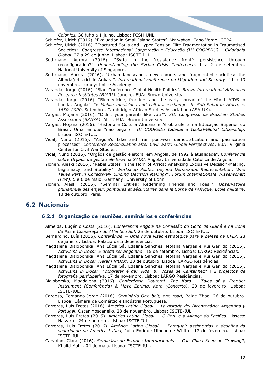*Colonies.* 30 juho a 1 julho. Lisboa: FCSH-UNL.

Schiefer, Ulrich (2016). "Evaluation in Small Island States". *Workshop*. Cabo Verde: GERA.

- Schiefer, Ulrich (2016). "Fractured Souls and Hyper-Tension Elite Fragmentation in Traumatised Societies". *Congresso Internacional Cooperação e Educação (III COOPEDU) – Cidadania Global*. 27 a 29 de junho. Lisboa: ISCTE-IUL.
- Sottimano, Aurora (2016). "Syria in the 'resistance front': persistence through reconfiguration?". *Understanding the Syrian Crisis Conference*. 1 a 2 de setembro. National University of Singapore.
- Sottimano, Aurora (2016). "Urban landscapes, new comers and fragmented societies: the Altindağ district in Ankara". *International conference on Migration and Security*. 11 a 13 novembro. Turkey: Police Academy.
- Varanda, Jorge (2016). "Biari Conference Global Health Politics". *Brown International Advanced Research Institutes (BIARI)*. Janeiro. EUA: Brown University.
- Varanda, Jorge (2016). "Biomedicine, frontiers and the early spread of the HIV-1 AIDS in Lunda, Angola". In *Mobile medicines and cultural exchanges in Sub-Saharan Africa, c. 1650–2000*. Setembro. Cambridge: African Studies Association (ASA-UK).
- Vargas, Mojana (2016). "Didn't your parents like you?"*. XIII Congresso da Brazilian Studies Association (BRASA)*. Abril. EUA: Brown University.
- Vargas, Mojana (2016). "História e Cultura Africana e Afrobrasileira na Educação Superior do Brasil: Uma lei que "não pega"?". *III COOPEDU Cidadania Global-Global Citizenship*. Lisboa: ISCTE-IUL.
- Vidal, Nuno (2016). "Angola's fake and frail post-war democratization and pacification processes". *Conference Reconciliation after Civil Wars: Global Perspectives*. EUA: Virginia Center for Civil War Studies.
- Vidal, Nuno (2016). "Órgãos de gestão eleitoral em Angola, de 1992 à atualidade". *Conferência sobre Órgãos de gestão eleitoral na SADC*. Angola: Universidade Católica de Angola.
- Ylönen, Aleski (2016). "Rebel States in the Horn of Africa: Analyzing Exclusive Decision-Making, Legitimacy, and Stability". *Workshop Politics beyond Democratic Representation: Who Takes Part in Collectively Binding Decision Making?". Forum Internationale Wissenschaft (FIW)*. 5 e 6 de maio. Germany: University of Bonn.
- Ylönen, Aleski (2016). "Seminar Eritrea: Redefining Friends and Foes?". *Observatoire pluriannuel des enjeux politiques et sécuritaires dans la Corne de l'Afrique, Ecole militaire*. 13 de outubro. Paris.

# **6.2 Nacionais**

#### **6.2.1 Organização de reuniões, seminários e conferências**

- Almeida, Eugénio Costa (2016). *Conferência Angola na Comissão do Golfo da Guiné e na Zona de Paz e Cooperação do Atlântico Sul*. 25 de outubro. Lisboa: ISCTE-IUL.
- Bernardino, Luís (2016). *Conferência — Uma nova visão estratégica para a defesa na CPLP*. 28 de janeiro. Lisboa: Palácio da Independência.
- Magdalena Bialoborska, Ana Lúcia Sá, Edalina Sanches, Mojana Vargas e Rui Garrido (2016). *Activisms in Docs: 'É dreda ser angolano'*. 15 de setembro. Lisboa: LARGO Residências.
- Magdalena Bialoborska, Ana Lúcia Sá, Edalina Sanches, Mojana Vargas e Rui Garrido (2016). *Activisms in Docs: 'Neram N'Dok'*. 20 de outubro. Lisboa: LARGO Residências.
- Magdalena Bialoborska, Ana Lúcia Sá, Edalina Sanches, Mojana Vargas e Rui Garrido (2016). *Activisms in Docs: "Fotografar é dar Vida" & "Vozes de Cantanhez" | 2 projectos de fotografia participativa*. 17 de novembro. Lisboa: LARGO Residências.
- Bialoborska, Magdalena (2016). *Conferência Doutoral: The Kora – Tales of a Frontier Instrument (Conferência) & Mbye Ebrima, Kora (Concerto)*. 29 de fevereiro. Lisboa: ISCTE-IUL.
- Cardoso, Fernando Jorge (2016). *Seminário One belt, one road*, Baige Zhao. 26 de outubro. Lisboa: Câmara de Comércio e Indústria Portuguesa.
- Carreras, Luis Fretes (2016). *América Latina Global — La historia del Bicentenário: Argentina y Portugal*, Oscar Moscariello. 28 de novembro. Lisboa: ISCTE-IUL
- Carreras, Luis Fretes (2016). *América Latina Global — O Peru e a Aliança do Pacífico*, Lissette Nalvarte. 24 de outubro. Lisboa: ISCTE-IUL.
- Carreras, Luis Fretes (2016). *América Latina Global — Paraguai: assimetrias e desafios da seguridade de América Latina*, Julio Enrique Mineur de Whitte. 17 de fevereiro. Lisboa: ISCTE-IUL.
- Carvalho, Clara (2016). *Seminário de Estudos Internacionais — Can China Keep on Growing?*, Khalid Malik. 04 de maio. Lisboa: ISCTE-IUL.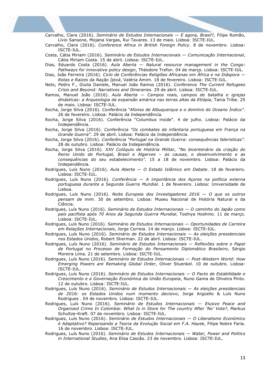Carvalho, Clara (2016). *Seminário de Estudos Internacionais — E agora, Brasil?*, Filipe Romão, Lívio Sansone, Mojana Vargas, Rui Tavares. 13 de maio. Lisboa: ISCTE-IUL.

- Carvalho, Clara (2016). *Conference Africa in British Foreign Policy*. 8 de novembro. Lisboa: ISCTE-IUL.
- Costa, Cátia Miriam (2016). *Seminário de Estudos Internacionais — Comunicação Internacional*, Cátia Miriam Costa. 15 de abril. Lisboa: ISCTE-IUL.
- Dias, Eduardo Costa (2016). *Aula Aberta — Natural resource management in the Congo: Pathways for innovative policy design*, Théodore Trefon. 04 de março. Lisboa: ISCTE-IUL.
- Dias, João Ferreira (2016). *Ciclo de Conferências Religiões Africanas em África e na Diáspora — Rotas e Raízes da Nação Ijexá*, Valéria Amim. 18 de fevereiro. Lisboa: ISCTE-IUL.
- Neto, Pedro F., Giulia Daniele, Manuel João Ramos (2016). *Conference The Current Refugees Crisis and Beyond: Narratives and Itineraries*. 29 de abril. Lisboa: ISCTE-IUL.
- Ramos, Manuel João (2016). *Aula Aberta — Campos reais, campos de batalha e igrejas dinásticas: a Arqueologia da expansão amárica nas terras altas da Etiópia*, Tania Tribe. 25 de maio. Lisboa: ISCTE-IUL.
- Rocha, Jorge Silva (2016). *Conferência "Afonso de Albuquerque e o domínio do Oceano Índico"*. 26 de fevereiro. Lisboa: Palácio da Independência.
- Rocha, Jorge Silva (2016). Conferência "Columbus inside". 4 de julho. Lisboa: Palácio da Independência.
- Rocha, Jorge Silva (2016). *Conferência "Os combates da infantaria portuguesa em França na Grande Guerra"*. 29 de abril. Lisboa: Palácio da Independência.
- Rocha, Jorge Silva (2016). *Conferência "Portugal na Grande Guerra: consequências faleristícas"*. 28 de outubro. Lisboa: Palácio da Independência.
- Rocha, Jorge Silva (2016). *XXV Colóquio de História Militar, "No bicentenário da criação do Reino Unido de Portugal, Brasil e Algarves – as causas, o desenvolvimento e as consequências do seu estabelecimento"*. 15 a 18 de novembro. Lisboa: Palácio da Independência.
- Rodrigues, Luís Nuno (2016). *Aula Aberta — O Estado Islâmico em Debate*. 18 de fevereiro. Lisboa: ISCTE-IUL.
- Rodrigues, Luís Nuno (2016). *Conferência — A importância dos Açores na política externa portuguesa durante a Segunda Guerra Mundial*. 1 de fevereiro. Lisboa: Universidade de Lisboa.
- Rodrigues, Luís Nuno (2016). *Noite Europeia dos Investigadores 2016 — O que os outros pensam de mim*. 30 de setembro. Lisboa: Museu Nacional de História Natural e da Ciência.
- Rodrigues, Luís Nuno (2016). *Seminário de Estudos Internacionais — O caminho do Japão como país pacifista após 70 Anos da Segunda Guerra Mundial*, Toshiya Hoshino. 11 de março. Lisboa: ISCTE-IUL.
- Rodrigues, Luís Nuno (2016). *Seminário de Estudos Internacionais — Oportunidades de Carreira em Relações Internacionais*, Jorge Correia. 14 de março. Lisboa: ISCTE-IUL.
- Rodrigues, Luís Nuno (2016). *Seminário de Estudos Internacionais — As eleições presidenciais nos Estados Unidos*, Robert Sherman. 22 de abril. Lisboa: ISCTE-IUL.
- Rodrigues, Luís Nuno (2016). *Seminário de Estudos Internacionais — Reflexões sobre o Papel de Portugal no Processo de Formação do Pensamento Diplomático Brasileiro*, Sérgio Moreira Lima. 21 de setembro. Lisboa: ISCTE-IUL.
- Rodrigues, Luís Nuno (2016). *Seminário de Estudos Internacionais — Post-Western World: How Emerging Powers are Remaking Global Order*, Oliver Stuenkel. 10 de outubro. Lisboa: ISCTE-IUL.
- Rodrigues, Luís Nuno (2016). *Seminário de Estudos Internacionais — O Pacto de Estabilidade e Crescimento e a Governação Económica da União Europeia*, Nuno Gama de Oliveira Pinto. 12 de outubro. Lisboa: ISCTE-IUL.
- Rodrigues, Luís Nuno (2016). *Seminário de Estudos Internacionais — As eleições presidenciais de 2016: os Estados Unidos num momento decisivo*, Jorge Argüello & Luís Nuno Rodrigues . 04 de novembro. Lisboa: ISCTE-IUL.
- Rodrigues, Luís Nuno (2016). *Seminário de Estudos Internacionais — Elusive Peace and Organized Crime In Colombia: What Is in Store for The country After 'No' Vote?*, Markus Schultze-Kraft. 07 de novembro. Lisboa: ISCTE-IUL.
- Rodrigues, Luís Nuno (2016). *Seminário de Estudos Internacionais — O Liberalismo Económico é Adaptativo? Repensando a Teoria da Evolução Social em F.A. Hayek*, Filipe Nobre Faria. 16 de novembro. Lisboa: ISCTE-IUL.
- Rodrigues, Luís Nuno (2016). *Seminário de Estudos Internacionais — Water, Power and Politics in International Studies*, Ana Elisa Cascão. 23 de novembro. Lisboa: ISCTE-IUL.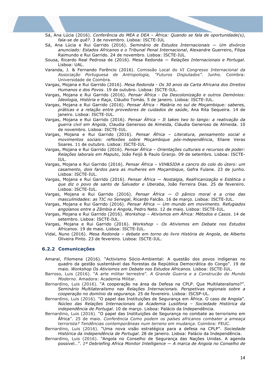- Sá, Ana Lúcia (2016). *Conferência do MEA e DEA – África: Quando se fala de oportunidade(s), fala-se de quê?*. 3 de novembro. Lisboa: ISCTE-IUL
- Sá, Ana Lúcia e Rui Garrido (2016). *Seminário de Estudos Internacionais — Um divórcio anunciado: Estados Africanos e o Tribunal Penal Internacional*, Alexandre Guerreiro, Filipa Raimundo e Rui Garrido. 24 de novembro. Lisboa: ISCTE-IUL.
- Sousa, Ricardo Real Pedrosa de (2016). Mesa Redonda *Relações Internacionais e Portugal*. Lisboa: UAL.
- Varanda, J. & Fernando Forêncio (2016). Comissão Local do *VI Congresso Internacional da Associação Portuguesa de Antropologia, "Futuros Disputados"*. Junho. Coimbra: Universidade de Coimbra.
- Vargas, Mojana e Rui Garrido (2016). *Mesa Redonda - Os 30 anos da Carta Africana dos Direitos Humanos e dos Povos*. 19 de outubro. Lisboa: ISCTE-IUL.
- Vargas, Mojana e Rui Garrido (2016). *Pensar África - Da Descolonização e outros Demónios: Ideologia, História e Raça*, Cláudio Tomás. 5 de janeiro. Lisboa: ISCTE-IUL.
- Vargas, Mojana e Rui Garrido (2016). *Pensar África - Malária no sul de Moçambique: saberes, práticas e a relação entre provedores de cuidados de saúde*, Ana Rita Sequeira. 14 de janeiro. Lisboa: ISCTE-IUL.
- Vargas, Mojana e Rui Garrido (2016). *Pensar África – It takes two to tango: a reativação da guerra civil em Angola*, Claudia Generoso de Almeida, Cláudia Generoso de Almeida. 10 de novembro. Lisboa: ISCTE-IUL.
- Vargas, Mojana e Rui Garrido (2016). *Pensar África – Literatura, pensamento social e movimentos sociais: reflexões sobre Moçambique pós-independência*, Eliane Veras Soares. 11 de outubro. Lisboa: ISCTE-IUL.
- Vargas, Mojana e Rui Garrido (2016). *Pensar África – Orientações culturais e recursos de poder: Relações laborais em Maputo*, João Feijó & Paulo Granjo. 09 de setembro. Lisboa: ISCTE-IUL.
- Vargas, Mojana e Rui Garrido (2016). *Pensar África – VIH&SIDA e cancro do colo do útero: um casamento, dois fardos para as mulheres em Moçambique*, Gefra Fulane. 23 de junho. Lisboa: ISCTE-IUL.
- Vargas, Mojana e Rui Garrido (2016). *Pensar África — Nostalgia, Reafricanização e Estética o que diz o povo de santo de Salvador e Uberaba*, João Ferreira Dias. 25 de fevereiro. Lisboa: ISCTE-IUL.
- Vargas, Mojana e Rui Garrido (2016). *Pensar África — O pânico moral e a crise das masculinidades: as TIC no Senegal*, Ricardo Falcão. 16 de março. Lisboa: ISCTE-IUL.
- Vargas, Mojana e Rui Garrido (2016). *Pensar África — Um mundo em movimento. Refugiados angolanos entre a Zâmbia e Angola*, Pedro Neto. 12 de maio. Lisboa: ISCTE-IUL.
- Vargas, Mojana e Rui Garrido (2016). *Workshop – Ativismos em África: Métodos e Casos*. 14 de setembro. Lisboa: ISCTE-IUL.
- Vargas, Mojana e Rui Garrido (2016). *Workshop – Os Ativismos em Debate nos Estudos Africanos*. 19 de maio. Lisboa: ISCTE-IUL.
- Vidal, Nuno (2016). *Mesa Redonda – debate em torno do livro História de Angola*, de Alberto Oliveira Pinto. 23 de fevereiro. Lisboa: ISCTE-IUL.

#### **6.2.2 Comunicações**

- Amaral, Filomena (2016). "Activismo Sócio-Ambiental: A questão dos povos indígenas no quadro da gestão sustentável das florestas da República Democrática do Congo". 19 de maio. *Workshop Os Ativismos em Debate nos Estudos Africanos.* Lisboa: ISCTE-IUL.
- Barroso, Luis (2016). "A arte militar terrestre". *A Grande Guerra e a Construcão do Mundo Moderno*. Amadora: Academia Militar.
- Bernardino, Luis (2016). "A cooperação na área da Defesa na CPLP. Que Multilateralismo?". *Seminário Multilateralismo nas Relações Internacionais. Perspetivas regionais sobre a cooperação no domínio da segurança*. 25 de fevereiro. Lisboa: ISCSP-UL.
- Bernardino, Luis (2016). "O papel das Instituições de Segurança em África. O caso de Angola". *Núcleo das Relações Internacionais da Academia Lusófona – Sociedade Histórica da independência de Portugal*. 10 de março. Lisboa: Palácio da Independência.

Bernardino, Luis (2016). "O papel das Instituições de Segurança no combate ao terrorismo em África". 25 de maio. *Conferência Como podem os países africanos combater a ameaça terrorista? Tendências contemporâneas num terreno em mudança*. Coimbra: FEUC.

Bernardino, Luis (2016). "Uma nova visão estratégica para a defesa na CPLP". *Sociedade Histórica da independência de Portugal*. 28 de janeiro. Lisboa: Palácio da Independência.

Bernardino, Luis (2016). "Angola no Conselho de Segurança das Nações Unidas. A agenda possível…". *1º Debriefing Africa Monitor Intelligence — A marca de Angola no Conselho de*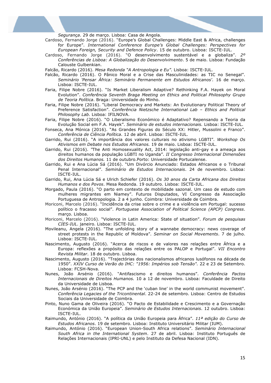*Segurança*. 29 de março. Lisboa: Casa de Angola.

Cardoso, Fernando Jorge (2016). "Europe's Global Challenges: Middle East & Africa, challenges for Europe". *International Conference Europe's Global Challenges: Perspectives for European Foreign, Security and Defence Policy*. 15 de outubro. Lisboa: ISCTE-IUL.

Cardoso, Fernando Jorge (2016). "O desenvolvimento sustentável e a globaliza". *2º Conferências de Lisboa: A Globalização do Desenvolvimento*. 5 de maio. Lisboa: Fundação Calouste Gulbenkian.

Falcão, Ricardo (2016). *Mesa Redonda "A Antropologia e Eu"*. Lisboa: ISCTE-IUL.

- Falcão, Ricardo (2016). O Pânico Moral e a Crise das Masculinidades: as TIC no Senegal". *Seminário 'Pensar África: Seminário Permanente em Estudos Africanos'.* 16 de março. Lisboa: ISCTE-IUL.
- Faria, Filipe Nobre (2016). "Is Market Liberalism Adaptive? Rethinking F.A. Hayek on Moral Evolution". *Conferência Seventh Braga Meeting on Ethics and Political Philosophy Grupo de Teoria Política*. Braga: Universidade do Minho.
- Faria, Filipe Nobre (2016). "Liberal Democracy and Markets: An Evolutionary Political Theory of Preference Satisfaction". *Conferência Nietzsche International Lab – Ethics and Political Philosophy Lab*. Lisboa: IFILNOVA.
- Faria, Filipe Nobre (2016). "O Liberalismo Económico é Adaptativo? Repensando a Teoria da Evolução Social em F.A. Hayek". *Seminário de estudos internacionais.* Lisboa: ISCTE-IUL.
- Fonseca, Ana Mónica (2016). "As Grandes Figuras do Século XX: Hitler, Mussolini e Franco". *Conferência de Ciência Política*. 12 de abril. Lisboa: ISCTE-IUL.
- Garrido, Rui (2016). "A importância dos valores culturais no ativismo LGBTI". *Workshop Os Ativismos em Debate nos Estudos Africanos.* 19 de maio. Lisboa: ISCTE-IUL.
- Garrido, Rui (2016). *"*The Anti Homosexuality Act, 2014: legislação anti-gay e a ameaça aos direitos humanos da população LGBTI no Uganda". *II Congresso Internacional Dimensões dos Direitos Humanos.* 11 de outubro.Porto: Universidade Portucalense.
- Garrido, Rui e Ana Lúcia Sá (2016). "Um Divórcio Anunciado: Estados Africanos e o Tribunal Penal Internacional". *Seminário de Estudos Internacionais*. 24 de novembro. Lisboa: ISCTE-IUL.
- Garrido, Rui, Ana Lúcia Sá e Ulrich Schiefer (2016). *Os 30 anos da Carta Africana dos Direitos Humanos e dos Povos*. Mesa Redonda. 19 outubro. Lisboa: ISCTE-IUL.
- Morgado, Paula (2016). "O parto em contexto de mobilidade sazonal. Um caso de estudo com mulheres migrantes em Niamey". Futuros Disputados, VI Congresso da Associação Portuguesa de Antropologia. 2 a 4 junho. Coimbra: Universidade de Coimbra.
- Moriconi, Marcelo (2016). "Incidência da crise sobre o crime e a violência em Portugal: sucesso político o fracasso social". *Portuguese Association of Political Science (APCP) Congress*. março. Lisboa.
- Moriconi, Marcelo (2016). "Violence in Latin America: State of situation". *Forum de pesquisas CIES-IUL*. janeiro. Lisboa: ISCTE-IUL.
- Movileanu, Angela (2016). "The unfolding story of a wannabe democracy: news coverage of street protests in the Republic of Moldova". *Seminar on Social Movements*. 7 de julho. Lisboa: ISCTE-IUL.
- Nascimento, Augusto (2016). "Acerca de riscos e de valores nas relações entre África e a Europa: reflexões a propósito das relações entre os PALOP e Portugal". *VII Encontro Revista Militar*. 18 de outubro. Lisboa.
- Nascimento, Augusto (2016). "Trajectórias dos nacionalismos africanos lusófonos na década de 1950". *XXIV Curso de Verão do IHC: "1956: Impérios sob Tensão".* 22 e 23 de Setembro. Lisboa: FCSH-Nova.
- Nunes, João Arsénio (2016). "Antifascismo e direitos humanos". *Conferência Pactos Internacionais de Direitos Humanos.* 10 a 12 de novembro. Lisboa: Faculdade de Direito da Universidade de Lisboa.
- Nunes, João Arsénio (2016). "The PCP and the 'cuban line' in the world communist movement". *Conferência Legacies of the Tricontinental*. 22-24 de setembro. Lisboa: Centro de Estudos Sociais da Universidade de Coimbra.
- Pinto, Nuno Gama de Oliveira (2016). "O Pacto de Estabilidade e Crescimento e a Governação Económica da União Europeia". *Seminário de Estudos Internacionais*. 12 outubro. Lisboa: ISCTE-IUL.
- Raimundo, António (2016). "A política da União Europeia para África". *11ª edição do Curso de Estudos Africanos*. 19 de setembro. Lisboa: Instituto Universitário Militar (IUM).
- Raimundo, António (2016). "European Union-South Africa relations". *Seminário Internacional South Africa in the International System*. 27 de abril. Lisboa: Instituto Português de Relações Internacionais (IPRI-UNL) e pelo Instituto da Defesa Nacional (IDN).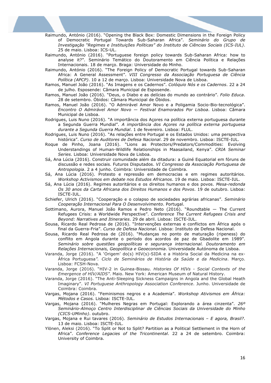Raimundo, António (2016). "Opening the Black Box: Domestic Dimensions in the Foreign Policy of Democratic Portugal Towards Sub-Saharan Africa". *Seminário do Grupo de Investigação "Regimes e Instituições Políticas" do Instituto de Ciências Sociais (ICS-IUL)*. 25 de maio. Lisboa: ICS-UL.

Raimundo, António (2016). "Portuguese foreign policy towards Sub-Saharan Africa: how to analyse it?". Seminário Temático do Doutoramento em Ciência Política e Relações Internacionais. 18 de março. Braga: Universidade do Minho.

- Raimundo, António (2016). "The Foreign Policy of Democratic Portugal towards Sub-Saharan Africa: A General Assessment". *VIII Congresso da Associação Portuguesa de Ciência Política (APCP)*. 10 a 12 de março. Lisboa: Universidade Nova de Lisboa.
- Ramos, Manuel João (2016). "As Imagens e os Cadernos". *Colóquio Nós e os Cadernos*. 22 a 24 de julho. Esposende: Câmara Municipal de Esposende.
- Ramos, Manuel João (2016). "Deus, o Diabo e as delícias do mundo ao contrário". *Folio Educa*. 28 de setembro. Óbidos: Câmara Municipal de Óbidos.
- Ramos, Manuel João (2016). "O Admirável Amor Novo e a Poligamia Socio-Bio-tecnológica". *Encontro O Admirável Amor Novo — Festival Enamorados Por Lisboa*. Lisboa: Câmara Municipal de Lisboa.
- Rodrigues, Luis Nuno (2016). "A importância dos Açores na política externa portuguesa durante a Segunda Guerra Mundial". *A importância dos Açores na política externa portuguesa durante a Segunda Guerra Mundial*. 1 de fevereiro. Lisboa: FLUL.
- Rodrigues, Luis Nuno (2016). "As relações entre Portugal e os Estados Unidos: uma perspectiva histórica". *Curso de Auditores de Defesa Nacional*. 29 de novembro. Lisboa: ISCTE-IUL.
- Roque de Pinho, Joana (2016). "Lions as Protectors/Predators/Commodities: Evolving Understandings of Human-Wildlife Relationships in Maasailand, Kenya". *CRIA Seminar Series*. Lisboa: Universidade Nova de Lisboa.
- Sá, Ana Lúcia (2016). Construir comunidade além da ditadura: a Guiné Equatorial em fóruns de discussão e redes sociais. Futuros Disputados. *VI Congresso da Associação Portuguesa de Antropologia*. 2 a 4 junho. Coimbra: Universidade de Coimbra.
- Sá, Ana Lúcia (2016). Protesto e repressão em democracias e em regimes autoritários. *Workshop Activismos em debate nos Estudos Africanos*. 19 de maio. Lisboa: ISCTE-IUL.
- Sá, Ana Lúcia (2016). Regimes autoritários e os direitos humanos e dos povos. *Mesa-redonda Os 30 anos da Carta Africana dos Direitos Humanos e dos Povos*. 19 de outubro. Lisboa: ISCTE-IUL.
- Schiefer, Ulrich (2016). "Cooperação e o colapso de sociedades agrárias africanas". *Seminário Cooperação Internacional Para O Desenvolvimento*. Portugal.
- Sottimano, Aurora, Manuel João Ramos e Pedro Neto (2016). "Roundtable The Current Refugees Crisis: a Worldwide Perspective". *Conference The Current Refugees Crisis and Beyond: Narratives and Itineraries*. 29 de abril. Lisboa: ISCTE-IUL.
- Sousa, Ricardo Real Pedrosa de (2016). "Intervenções externas e conflictos em África após o final da Guerra-Fria". *Curso de Defesa Nacional*. Lisboa: Instituto de Defesa Nacional.
- Sousa, Ricardo Real Pedrosa de (2016). "Mudanças no ponto de maturação (ripeness) do conflito em Angola durante o período dos acordos de paz de Gbadolite em 1989". *Seminário sobre questões geopolíticas e segurança internacional. Doutoramento em Relações Internacionais, Geopolítica e Geoeconomia*. Universidade Autónoma de Lisboa.
- Varanda, Jorge (2016). "A 'Origem' do(s) HIV(s)-SIDA e a História Social da Medicina na ex-África Portuguesa*". Ciclo de Seminários de História da Saúde e da Medicina*. Março. Lisboa: FCSH-Nova.
- Varanda, Jorge (2016). "HIV-2 in Guinea-Bissau. *Histories Of HIVs - Social Contexts of the Emergence of HIV/AIDS"*. Maio. New York: American Museum of Natural History.
- Varanda, Jorge (2016). "The Anti-Sleeping Sickness Campaigns in Angola and the Global Heath Imaginary". *VI Portuguese Anthropology Association Conference*. Junho. Universidade de Coimbra: Coimbra.
- Vargas, Mojana (2016). "Feminismos negros e a Academia". *Workshop Ativismos em África: Métodos e Casos.* Lisboa: ISCTE-IUL.
- Vargas, Mojana (2016). "Mulheres Negras em Portugal: Explorando a área cinzenta". *26º Seminário-Almoço Centro Interdisciplinar de Ciências Sociais da Universidade do Minho (CICS-UMinho)*. outubro.
- Vargas, Mojana e Rui tavares (2016). *Seminário de Estudos Internacionais – E agora, Brasil?*. 13 de maio. Lisboa: ISCTE-IUL.
- Ylönen, Aleksi (2016). "To Split or Not to Split? Partition as a Political Settlement in the Horn of Africa". *Conference Legacies of the Tricontinental*. 22 a 24 de setembro. Coimbra: University of Coimbra.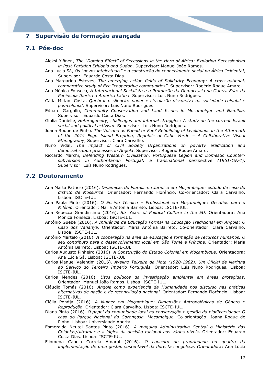# **7 Supervisão de formação avançada**

# **7.1 Pós-doc**

Aleksi Ylönen, *The "Domino Effect" of Secessions in the Horn of Africa: Exploring Secessionism in Post-Partition Ethiopia and Sudan*. Supervisor: Manuel João Ramos.

- Ana Lúcia Sá, *Os "novos intelectuais" e a construção do conhecimento social na África Ocidental*, Supervisor: Eduardo Costa Dias.
- Ana Margarida Esteves, *The emerging action fields of Solidarity Economy: A cross-national, comparative study of five "cooperative communities"*. Supervisor: Rogério Roque Amaro.
- Ana Mónica Fonseca, *A Internacional Socialista e a Promoção da Democracia na Guerra Fria: da Península Ibérica à América Latina*. Supervisor: Luís Nuno Rodrigues.
- Cátia Miriam Costa, *Quebrar o silêncio: poder e circulação discursiva na sociedade colonial e pós-colonial*. Supervisor: Luís Nuno Rodrigues.
- Eduard Gargallo, *Community Conservation and Land Issues in Mozambique and Namibia*. Supervisor: Eduardo Costa Dias.
- Giulia Danielle, *Heterogeneity, challenges and internal struggles: A study on the current Israeli social and political activism*. Supervisor: Luís Nuno Rodrigues.
- Joana Roque de Pinho*, The Volcano as Friend or Foe? Rebuilding of Livelihoods in the Aftermath of the 2014 Fogo Island Eruption, Republic of Cabo Verde – A Collaborative Visual Ethnography*, Supervisor: Clara Carvalho.
- Nuno Vidal, *The impact of Civil Society Organisations on poverty eradication and democratisation processes in Angola*. Supervisor: Rogério Roque Amaro.
- Riccardo Marchi, *Defending Western Civilization. Portuguese Legion and Domestic Countersubversion in Authoritarian Portugal: a transnational perspective (1961-1974)*. Supervisor: Luís Nuno Rodrigues.

#### **7.2 Doutoramento**

- Ana Marta Patrício (2016). *Dinâmicas do Pluralismo Jurídico em Moçambique: estudo de caso do distrito de Mossurize*. Orientador: Fernando Florêncio. Co-orientador: Clara Carvalho. Lisboa: ISCTE-IUL
- Ana Paula Pinto (2016). *O Ensino Técnico – Profissional em Moçambique: Desafios para o Milénio*. Orientador: Maria Antónia Barreto. Lisboa: ISCTE-IUL.
- Ana Rebecca Grandissimo (2016). *Six Years of Political Culture in the EU*. Orientadora: Ana Mónica Fonseca. Lisboa: ISCTE-IUL.
- António Guebe (2016). *A Influência de Educação Formal na Educação Tradicional em Angola: O Caso dos Vahanya*. Orientador: Maria Antónia Barreto. Co-orientador: Clara Carvalho. Lisboa: ISCTE-IUL.
- António Martelo (2016). *A cooperação na área da educação e formação de recursos humanos. O seu contributo para o desenvolvimento local em São Tomé e Príncipe*. Orientador: Maria Antónia Barreto. Lisboa: ISCTE-IUL.
- Carlos Augusto Pinheiro (2016). *A Construção do Estado Colonial em Moçambique*. Orientadora: Ana Lúcia Sá. Lisboa: ISCTE-IUL.
- Carlos Manuel Valentim (2016). *Avelino Teixeira da Mota (1920-1982). Um Oficial de Marinha ao Serviço do Terceiro Império Português*. Orientador: Luis Nuno Rodrigues. Lisboa: ISCTE-IUL.
- Carlos Mendes (2016). *Usos políticos da investigação ambiental em áreas protegidas*. Orientador: Manuel João Ramos. Lisboa: ISCTE-IUL.
- Cláudio Tomás (2016). *Angola como experiencia da Humanidade nos discurso nas práticas alternativas de nação e de reconciliação nacional.* Orientador: Fernando Florêncio. Lisboa: ISCTE-IUL.
- Clélia Pondja (2016). *A Mulher em Moçambique: Dimensões Antropológicas de Género e Reprodução*. Orientador: Clara Carvalho. Lisboa: ISCTE-IUL.
- Diana Pinto (2016). *O papel da comunidade local na conservação e gestão da biodiversidade: O caso do Parque Nacional da Gorongosa, Mocambique.* Co-orientação: Joana Roque de Pinho. Lisboa: Universidade Aberta.
- Esmeralda Neutel Santos Pinto (2016). *A máquina Administrativa Central o Ministério das Colónias/Ultramar e a lógica da decisão racional aos vários níveis*. Orientador: Eduardo Costa Dias. Lisboa: ISCTE-IUL.
- Filomena Capela Correia Amaral (2016). *O conceito de propriedade no quadro da implementação de uma gestão sustentável da floresta congolesa. Orientadora*: Ana Lúcia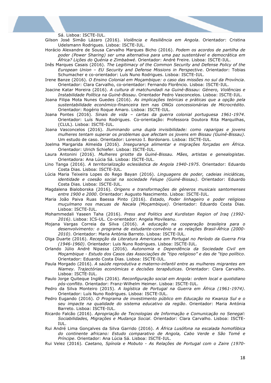Sá. Lisboa: ISCTE-IUL.

- Gilson José Simão Lázaro (2016). *Violência e Resiliência em Angola*. Orientador: Cristina Udelsmann Rodrigues. Lisboa: ISCTE-IUL.
- Horácio Alexandre de Sousa Carvalho Marques Bicho (2016). *Podem os acordos de partilha de poder (Power Sharing) ser uma alternativa para uma paz sustentável e democrática em África? Lições do Quénia e Zimbabwé*. Orientador: André Freire. Lisboa: ISCTE-IUL.
- Inês Marques Casais (2016). *The Legitimacy of the Common Security and Defense Policy of the European Union – EU Security and Defense Missions in Perspective*. Orientador: Tobias Schumacher e co-orientador: Luís Nuno Rodrigues. Lisboa: ISCTE-IUL.
- Irene Banze (2016). *O Ensino Colonial em Moçambique: o caso das missões no sul da Província*. Orientador: Clara Carvalho, co-orientador: Fernando Florêncio. Lisboa: ISCTE-IUL.
- Joacine Katar Moreira (2016). *A cultura di matchundadi na Guiné-Bissau: Género, Violências e Instabilidade Política na Guiné-Bissau*. Orientador Pedro Vasconcelos. Lisboa: ISCTE-IUL.
- Joana Filipa Mota Nunes Guedes (2016). *As implicações teóricas e práticas que a opção pela sustentabilidade económico-financeira tem nas ONGs concessionárias de Microcrédito*. Orientador: Rogério Roque Amaro. Lisboa: ISCTE-IUL.
- Joana Pontes (2016). *Sinais de vida – cartas da guerra colonial portuguesa 1961-1974*. Orientador: Luís Nuno Rodrigues. Co-orientação: Professora Doutora Rita Marquilhas, (CLUL). Lisboa: ISCTE-IUL.
- Joana Vasconcelos (2016). *Iluminando uma dupla invisibilidade: como raparigas e jovens mulheres tentam superar os problemas que afectam os jovens em Bissau (Guiné-Bissau)*. Um estudo de caso. Orientador: Lorenzo I. Bordonaro. Lisboa: ISCTE-IUL.
- Joelma Margarida Almeida (2016). *Insegurança alimentar e migrações forçadas em África*. Orientador: Ulrich Schiefer. Lisboa: ISCTE-IUL.
- Laura Antonini (2016). *Mulheres griotte da Guiné-Bissau. Mães, artistas e genealogistas*. Orientadora: Ana Lúcia Sá. Lisboa: ISCTE-IUL.
- Lino Tanga (2016)*. A territorialização eclesiástica de Angola 1940-1975*. Orientador: Eduardo Costa Dias. Lisboa: ISCTE-IUL.
- Lúcia Maria Teixeira Lopes do Rego Bayan (2016). *Linguagens de poder, cadeias iniciáticas, identidade e coesão social na sociedade Felupe (Guiné-Bissau)*. Orientador: Eduardo Costa Dias. Lisboa: ISCTE-IUL.
- Magdalena Bialoborska (2016). *Origens e transformações de géneros musicais santomenses entre 1900 e 2000*. Orientador: Augusto Nascimento. Lisboa: ISCTE-IUL.
- Maria João Paiva Ruas Baessa Pinto (2016). *Estado, Poder linhageiro e poder religioso muçulmano nos macuas de Nacala (Moçambique)*. Orientador: Eduardo Costa Dias. Lisboa: ISCTE-IUL.
- Mohammedali Yaseen Taha (2016). *Press and Politics and Kurdistan Region of Iraq (1992- 2016)*. Lisboa: ICS-UL. Co-orientador: Angela Movileanu.
- Mojana Vargas Correia da Silva (2016). *A educação na cooperação brasileira para o desenvolvimento: o programa de estudante-convênio e as relações Brasil-África (2000- 2010)*. Orientador: Maria Antónia Barreto. Lisboa: ISCTE-IUL.
- Olga Duarte (2016). *Recepção da Literatura Americana em Portugal no Período da Guerra Fria (1946-1960)*. Orientador: Luis Nuno Rodrigues. Lisboa: ISCTE-IUL.
- Orlando Júlio André Nipassa (2016). *Autonomia e Dependência da Sociedade Civil em Moçambique - Estudo dos Casos das Associações de "tipo religioso" e das de "tipo político*. Orientador: Eduardo Costa Dias. Lisboa: ISCTE-IUL.
- Paula Morgado (2016). *A saúde reprodutiva e materno-infantil entre as mulheres migrantes em Niamey. Trajectórias económicas e decisões terapêuticas*. Orientador: Clara Carvalho. Lisboa: ISCTE-IUL.
- Paulo Jorge Quiteque Inglês (2016). *Reconfiguração social em Angola: ordem local e quotidiano pós-conflito*. Orientador: Franz-Wilhelm Heimer. Lisboa: ISCTE-IUL.
- Pedro da Silva Monteiro (2015). *A logística de Portugal na Guerra em África (1961-1974)*. Orientador: Luís Nuno Rodrigues. Lisboa: ISCTE-IUL.
- Pedro Eugando (2016). *O Programa de investimento público em Educação no Kwanza Sul e o seu impacte na qualidade do sistema educativo da região*. Orientador: Maria Antónia Barreto. Lisboa: ISCTE-IUL.
- Ricardo Falcão (2016). *Apropriação de Tecnologias de Informação e Comunicação no Senegal: Sociabilidades, Migrações e Mudança Social*. Orientador: Clara Carvalho. Lisboa: ISCTE-IUL.
- Rui André Lima Gonçalves da Silva Garrido (2016). *A África Lusófona na escalada homofóbica do continente africano: Estudo comparativo de Angola, Cabo Verde e São Tomé e Príncipe*. Orientador: Ana Lúcia Sá. Lisboa: ISCTE-IUL.
- Rui Velez (2016)*. Caetano, Spínola e Mobuto - As Relações de Portugal com o Zaire (1970-*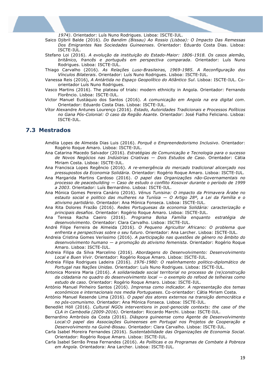*1974)*. Orientador: Luís Nuno Rodrigues. Lisboa: ISCTE-IUL.

- Saico Djibril Balde (2016). *Do Bandim (Bissau) Ao Rossio (Lisboa): O Impacto Das Remessas Dos Emigrantes Nas Sociedades Guineenses*. Orientador: Eduardo Costa Dias. Lisboa: ISCTE-IUL.
- Stefano Loi (2016). *A evolução da instituição do Estado-Maior: 1806-1918. Os casos alemão, britânico, francês e português em perspectiva comparada*. Orientador: Luís Nuno Rodrigues. Lisboa: ISCTE-IUL.
- Thiago Carvalho (2016). *As Relações Luso-Brasileiras, 1969-1985. A Reconfiguração dos Vínculos Bilaterais*. Orientador: Luís Nuno Rodrigues. Lisboa: ISCTE-IUL.
- Vanessa Reis (2016), *A Antártida no Espaço Geopolítico do Atlântico Sul*. Lisboa: ISCTE-IUL. Coorientador Luís Nuno Rodrigues.
- Vasco Martins (2016). The plateau of trials: modern ethnicity in Angola. Orientador: Fernando Florêncio. Lisboa: ISCTE-IUL.
- Victor Manuel Eustáquio dos Santos (2016). *A comunicação em Angola na era digital com*. Orientador: Eduardo Costa Dias. Lisboa: ISCTE-IUL.
- Vítor Alexandre Antunes Lourenço (2016). *Estado, Autoridades Tradicionais e Processos Políticos no Gana Pós-Colonial: O caso da Região Asante*. Orientador: José Fialho Feliciano. Lisboa: ISCTE-IUL.

#### **7.3 Mestrados**

- Amélia Lopes de Almeida Dias Luis (2016). *Porquê o Empreendedorismo Inclusivo*. Orientador: Rogério Roque Amaro. Lisboa: ISCTE-IUL.
- Ana Catarina Macedo Salvador (2016). *Estratégias de Comunicação e Tecnologia para o sucesso de Novos Negócios nas Indústrias Criativas — Dois Estudos de Caso*. Orientador: Cátia Miriam Costa. Lisboa: ISCTE-IUL.
- Ana Francisca Lopes Regêncio (2016). *A re-emergência do mercado tradicional alicerçado nos pressupostos da Economia Solidária*. Orientador: Rogério Roque Amaro. Lisboa: ISCTE-IUL.
- Ana Margarida Martins Cardoso (2016). *O papel das Organizações não-Governamentais no processo de peacebuilding — Caso de estudo o conflito Kosovar durante o período de 1999 a 2003*. Orientador: Luís Bernardino. Lisboa: ISCTE-IUL.
- Ana Mónica Gomes Pereira Canário (2016). *Vénus Tunisina: O impacto da Primavera Árabe no estauto social e politico das mulheres na Tunísia — O Artigo 28º, a Lei da Família e o ativismo partidário*. Orientador: Ana Mónica Fonseca. Lisboa: ISCTE-IUL.
- Ana Rita Dolores Frazão (2016). *Redes Portuguesas da economia Solidária: caracterização e principais desafios*. Orientador: Rogério Roque Amaro. Lisboa: ISCTE-IUL.
- Ana Teresa Racha Caeiro (2016). *Programa Bolsa Família enquanto estratégia de desenvolvimento*. Orientador: Clara Carvalho. Lisboa: ISCTE-IUL.
- André Filipe Ferreira de Almeida (2016). *O Pequeno Agricultor Africano: O problema que enfrenta e perspectivas sobre o seu futuro*. Orientador: Ana Larcher. Lisboa: ISCTE-IUL.
- Andreia Cristina Gomes Veríssimo (2016). *A participação nas questões de género no âmbito do desenvolvimento humano — a promoção do ativismo femenista*. Orientador: Rogério Roque Amaro. Lisboa: ISCTE-IUL.
- Andreia Filipa da Silva Marcelino (2016). *Abordagens do Desenvolvimento: Desenvolvimento Local e Buen Vivir*. Orientador: Rogério Roque Amaro. Lisboa: ISCTE-IUL.
- Andreia Filipa Rodrigues Ladeira (2016). *1976-1980: O realinhamento politico-diplomático de Portugal nas Nações Unidas*. Orientador: Luís Nuno Rodrigues. Lisboa: ISCTE-IUL.
- Antonica Moreira Maria (2016). *A solidariedade social territorial no processo de (re)construção da cidadania no quadro do desenvolvimento local — o exemplo do refood de telheiras como estudo de caso*. Orientador: Rogério Roque Amaro. Lisboa: ISCTE-IUL.
- António Manuel Pinheiro Santos (2016). *Imprensa como indicador. A representação dos temas económicos e internacionais nos media Portugueses*. Co-orientador: Cátia Miriam Costa.
- António Manuel Resende Lima (2016). *O papel dos atores externos na transição democrática e no pós-comunismo*. Orientador: Ana Mónica Fonseca. Lisboa: ISCTE-IUL.
- Benedikt Höll (2016). *Cultural NGOs interventions in post-genocide contexts: the case of the CLA in Cambodia (2009-2016)*. Orientador: Riccardo Marchi. Lisboa: ISCTE-IUL.
- Bernardino Ambrósio da Costa (2016). *Diáspora guineense como Agente de Desenvolvimento Local:O papel das Associações Guineenses em Portugal nos Projetos de Cooperação e Desenvolvimento na Guiné-Bissau*. Orientador: Clara Carvalho. Lisboa: ISCTE-IUL.

Carla Isabel Moreira Fernandes (2016). *Sustentabilidade das Organizações de Economia Social*. Orientador: Rogério Roque Amaro. Lisboa: ISCTE-IUL.

Carla Isabel Serrão Presa Fernandes (2016). *As Políticas e os Programas de Combate à Pobreza em Angola*. Orientadora: Ana Larcher. Lisboa: ISCTE-IUL.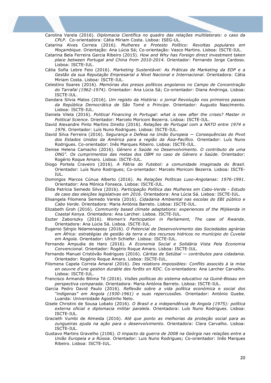Carolina Varela (2016). *Diplomacia Científica no quadro das relações multilaterais: o caso da CPLP*. Co-orientadora: Cátia Miriam Costa. Lisboa: ISEG-UL.

Catarina Alves Correia (2016). *Mulheres e Protesto Político: Revoltas populares em Moçambique*. Orientação: Ana Lúcia Sá; Co-orientação: Vasco Martins. Lisboa: ISCTE-IUL.

- Catarina Bela Ferreira Garcia Ribeiro (2015). *How and Why has Foreign direct investment taken place between Portugal and China from 2010-2014*. Orientador: Fernando Jorge Cardoso. Lisboa: ISCTE-IUL.
- Cátia Sofia Lebre Feio (2016). *Marketing Sustentável: As Práticas de Marketing da EDP e a Gestão da sua Reputação Empresarial a Nível Nacional e Internacional*. Orientadora: Cátia Miriam Costa. Lisboa: ISCTE-IUL.
- Celestino Soares (2016). *Memórias dos presos políticos angolanos no Campo de Concentração do Tarrafal (1962-1974)*. Orientador: Ana Lúcia Sá; Co-orientador: Diana Andringa. Lisboa: ISCTE-IUL.
- Dandara Silvia Matos (2016). *Um registo da História: o jornal Revolução nos primeiros passos da República Democrática de São Tomé e Principe*. Orientador: Augusto Nascimento. Lisboa: ISCTE-IUL.
- Daniela Vilela (2016). *Political Financing in Portugal: what is new after the crises? Master in Political Science*. Orientador: Marcelo Moriconi Bezerra. Lisboa: ISCTE-IUL.
- David Alexandre Pinto Martins Direito (2016). *Relações de Portugal com a NATO entre 1974 e 1976*. Orientador: Luís Nuno Rodrigues. Lisboa: ISCTE-IUL.
- David Silva Ferreira (2016). *Segurança e Defesa na União Europeia — Consequências do Pivot dos Estados Unidos da América para a região da Ásia-Pacífico*. Orientador: Luís Nuno Rodrigues. Co-orientador: Inês Marques Ribeiro. Lisboa: ISCTE-IUL.
- Denise Helena Camacho (2016). *Género e Saúde no Desenvolvimento. O contributo de uma ONG". Os cumprimentos das metas dos OBM no caso de Género e Saúde*. Orientador: Rogério Roque Amaro. Lisboa: ISCTE-IUL.
- Diogo Portela Craveiro (2016). *A Pátria do Futebol: a comunidade imaginada do Brasil*. Orientador: Luís Nuno Rodrigues; Co-orientador: Marcelo Moriconi Bezerra. Lisboa: ISCTE-IUL.
- Domingos Marcos Cúnua Alberto (2016). As *Relações Políticas Luso-Angolanas: 1976-1991*. Orientador: Ana Mónica Fonseca. Lisboa: ISCTE-IUL.
- Élida Patrícia Semedo Silva (2016). *Participação Política das Mulheres em Cabo-Verde - Estudo de caso das eleições legislativas em 2016*. Orientadora: Ana Lúcia Sá. Lisboa: ISCTE-IUL.
- Elisangela Filomena Semedo Varela (2016). *Cidadania Ambiental nas escolas do EBI público e Cabo Verde*. Orientadora: Maria Antónia Barreto. Lisboa: ISCTE-IUL.
- Elizabeth Groh (2016). *Community based climate adaptations: experiences of the Mijikenda in Coastal Kenya*. Orientadora: Ana Larcher. Lisboa. ISCTE-IUL.
- Eszter Zaborszky (2016). *Women's Participation in Parliament, The case of Rwanda*. Orientadora: Ana Lúcia Sá. Lisboa. ISCTE-IUL.
- Eugenio Sérgio Ndamenaposy (2016). *O Potencial de Desenvolvimento das Sociedades agrárias em África: estratégias de gestão da terra e dos recursos hidricos no munícipio do Cuvelai em Angola*. Orientador: Ulrich Schiefer. Lisboa: ISCTE-IUL.
- Fernando Ampudia de Haro (2016). *A Economia Social e Solidária Vista Pela Economia Convencional*. Orientador: Rogério Roque Amaro. Lisboa: ISCTE-IUL.
- Fernando Manuel Cristóvão Rodrigues (2016). *Cáritas de Setúbal — contributos para cidadania*. Orientador: Rogério Roque Amaro. Lisboa: ISCTE-IUL.
- Filomena Capela Correia Amaral (2016). *Des relations impossibles: Conflits associés à la mise en oeuvre d'une gestion durable des forêts en RDC*. Co-orientadora: Ana Larcher Carvalho. Lisboa: ISCTE-IUL.
- Francisco Armando Bilima Té (2016). *Visões políticas do sistema educativo na Guiné-Bissau em perspectiva comparada*. Orientadora: Maria Antónia Barreto. Lisboa: ISCTE-IUL.
- Garcia Pedro David Paulo (2016). *Reflexão sobre a vida política económica e social dos "indígenas" em Angola (1930-1961) e suas repercussões*. Orientador: António Guebe. Luanda: Universidade Agostinho Neto.
- Gisele Christini de Sousa Lobato (2016). *O Brasil e a independência de Angola (1975): política externa oficial e diplomacia militar paralela*. Orientadora: Luís Nuno Rodrigues. Lisboa: ISCTE-IUL.
- Gracieth Vumbi de Almeida (2016). *Até que ponto as melhorias da proteção social para as zungueiras ajuda na ação para o desenvolvimento*. Orientadora: Clara Carvalho. Lisboa: ISCTE-IUL.
- Gustavo Martins Gravelho (2106). *O impacto da guerra de 2008 na Geórgia nas relações entre a União Europeia e a Rússia*. Orientador: Luis Nuno Rodrigues; Co-orientador: Inês Marques Ribeiro. Lisboa: ISCTE-IUL.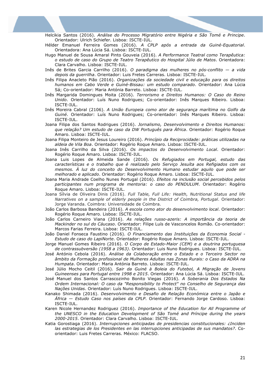Helcikia Santos (2016). *Análise do Processo Migratório entre Nigéria e São Tomé e Principe*. Orientador: Ulrich Schiefer. Lisboa: ISCTE-IUL.

- Hélder Emanuel Ferreira Gomes (2016). *A CPLP após a entrada da Guiné-Equatorial*. Orientadora: Ana Lúcia Sá. Lisboa: ISCTE-IUL.
- Hugo Manuel de Sousa Amaral Pinto Gouveia (2016). *A Performance Teatral como Terapêutica: o estudo de caso do Grupo de Teatro Terapêutico do Hospital Júlio de Matos*. Orientadora: Clara Carvalho. Lisboa: ISCTE-IUL.
- Inês de Brites Garcia Carrilho (2016). *O paradigma das mulheres no pós-conflito — a vida depois da guerrilha*. Orientador: Luis Fretes Carreras. Lisboa: ISCTE-IUL.
- Inês Filipa Anacleto Pião (2016). *Organizações da sociedade civil e educação para os direitos humanos em Cabo Verde e Guiné-Bissau: um estudo comparado*. Orientador: Ana Lúcia Sá; Co-orientador: Maria Antónia Barreto. Lisboa: ISCTE-IUL.
- Inês Margarida Domingues Moita (2016). *Terrorismo e Direitos Humanos: O Caso do Reino Unido*. Orientador: Luís Nuno Rodrigues; Co-orientador: Inês Marques Ribeiro. Lisboa: ISCTE-IUL.
- Inês Moreira Cabral (2106). *A União Europeia como ator de segurança marítima no Golfo da Guiné*. Orientador: Luís Nuno Rodrigues; Co-orientador: Inês Marques Ribeiro. Lisboa: ISCTE-IUL.
- Joana Filipa dos Santos Rodrigues (2016). *Jornalismo, Desenvolvimento e Direitos Humanos: que relação? Um estudo de caso da DW Português para África*. Orientador: Rogério Roque Amaro. Lisboa: ISCTE-IUL.
- Joana Filipa Monteiro de Jesus Loureiro (2016). *Princípio da Reciprocidade: práticas utilizadas na aldeia de Vila Boa*. Orientador: Rogério Roque Amaro. Lisboa: ISCTE-IUL.
- Joana Inês Carrilho da Silva (2016). *Os impactos do Desenvolvimento Local*. Orientador: Rogério Roque Amaro. Lisboa: ISCTE-IUL.
- Joana Luis Lopes de Almeida Sande (2016). *Os Refugiados em Portugal, estudo das características e o trabalho que é realizado pelo Serviço Jesuíta aos Refigiados com os mesmos. À luz do conceito do Desenvolvimento Humano estudar aquilo que pode ser melhorado e aplicado*. Orientador: Rogério Roque Amaro. Lisboa: ISCTE-IUL.
- Joana Maria Andrade Coelho Nunes Portugal (2016). *Efeitos na inclusão social percebidos pelos participantes num programa de mentoria: o caso do PENDULUM*. Orientador: Rogério Roque Amaro. Lisboa: ISCTE-IUL.
- Joana Sílvia de Oliveira Dinis (2016). *Full Table, Full Life: Health, Nutritional Status and life Narratives on a sample of elderly people in the District of Coimbra, Portugal*. Orientador: Jorge Varanda. Coimbra: Universidade de Coimbra.
- João Carlos Barbosa Bandeira (2016). *A escola como ator do desenvolvimento local*. Orientador: Rogério Roque Amaro. Lisboa: ISCTE-IUL.
- João Carlos Carneiro Viana (2016). *As relações russo-azeris: A importância da teoria de Mackinder no sul do Cáucaso*. Orientador: Filipe Luís de Vasconcelos Romão. Co-orientador: Marcos Farias Ferreira. Lisboa: ISCTE-IUL.
- João Daniel Fonseca Faustino (2016). *O Financiamento das Instituições da Economia Social - Estudo de caso do LapiNorte*. Orientador: Rogério Roque Amaro. Lisboa: ISCTE-IUL.
- Jorge Manuel Gomes Ribeiro (2016). *O Corpo de Estado-Maior (CEM) e a doutrina portuguesa de contrassubversão (1958 a 1963)*. Orientador: Luis Nuno Rodrigues. Lisboa: ISCTE-IUL.
- José António Cebola (2016). *Análise da Colaboração entre o Estado e o Terceiro Sector no âmbito da Formação profissional de Mulheres Adultas nas Zonas Rurais: o Caso da ADRA na Humpata*. Orientador: Maria Antónia Barreto. Lisboa: ISCTE-IUL.
- José Júlio Mocho Ceitil (2016). *Sair da Guiné à Boleia do Futebol, A Migração de Jovens Guineenses para Portugal entre 1998 e 2015*. Orientador: Ana Lúcia Sá. Lisboa: ISCTE-IUL.
- José Manuel dos Santos Carrascozinho Bonito Viegas (2016). *A Soberania Dos Estados Na Ordem Internacional: O caso da "Responsibility to Protect" no Conselho de Segurança das Nações Unidas*. Orientador: Luís Nuno Rodrigues. Lisboa: ISCTE-IUL.
- Kanako Shimada (2016). *Desenvolvimento e Desafio de Relação Económica entre o Japão e África — Estudo Caso nos países da CPLP*. Orientador: Fernando Jorge Cardoso. Lisboa: ISCTE-IUL.
- Karen Nicole Hernandez Rodriguez (2016). *Importance of the Education for All Programme of the UNESCO in the Education Development of São Tomé and Príncipe during the years 2000-2015*. Orientador: Clara Carvalho. Lisboa: ISCTE-IUL.
- Katia Gorostiaga (2016). *Interrupciones anticipadas de presidencias constitucionales: ¿Inciden las estrategias de los Presidentes en las interrupciones anticipadas de sus mandatos?*. Coorientador: Luis Fretes Carreras. México: FLACSO.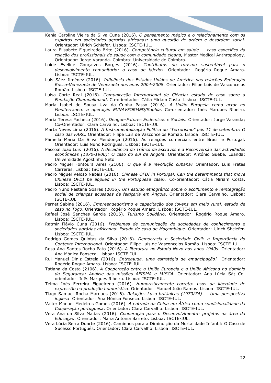Kenia Caroline Vieira da Silva Cuna (2016). *O pensamento mágico e o relacionamento com os espiritos em sociedades agrárias africanas: uma questão de ordem e desordem social*. Orientador: Ulrich Schiefer. Lisboa: ISCTE-IUL.

- Laura Elisabete Figueiredo Brito (2016). *Competência cultural em saúde — caso específico da relação dos profissionais de saúde com a comunidade cigana,* Master Medical Anthropology. Orientador: Jorge Varanda. Coimbra: Universidade de Coimbra.
- Loide Eveline Gonçalves Borges (2016). *Contributos do turismo sustentável para o desenvolvimento comunitário: o caso de lajedos*. Orientador: Rogério Roque Amaro. Lisboa: ISCTE-IUL.
- Luis Sáez Jiménez (2016). *Influência dos Estados Unidos de América nas relações Federação Russa-Venezuela de Venezuela nos anos 2004-2008*. Orientador: Filipe Luís de Vasconcelos Romão. Lisboa: ISCTE-IUL.
- Luísa Corte Real (2016). *Comunicação Internacional de Ciência: estudo de caso sobre a Fundação Champalimaud*. Co-orientador: Cátia Miriam Costa. Lisboa: ISCTE-IUL.
- Maria Isabel de Sousa Uva da Cunha Passo (2016). *A União Europeia como actor no Mediterrâneo: a operação EUNAVFORMED/Sophia*. Co-orientador: Inês Marques Ribeiro. Lisboa: ISCTE-IUL.
- Maria Teresa Pacheco (2016). *Dengue-Fatores Endemicos e Sociais.* Orientador: Jorge Varanda; Co-Orientador: Clara Carvalho. Lisboa: ISCTE-IUL.
- Marta Neves Lima (2016). *A Instrumentalização Política do "Terrorismo" pós 11 de setembro: O caso das FARC*. Orientador: Filipe Luís de Vasconcelos Romão. Lisboa: ISCTE-IUL.
- Pâmella Maria Da Silva Mendonça (2016). As relações comerciais entre Brasil e Portugal. Orientador: Luis Nuno Rodrigues. Lisboa: ISCTE-IUL.
- Pascoal João Luis (2016). *A decadência do Tráfico de Escravos e a Reconversão das actividades económicas (1870-1900): O caso do sul de Angola*. Orientador: António Guebe. Luanda: Universidade Agostinho Neto
- Pedro Miguel Fontoura Aires (2106). *O que é a revolução cubana?* Orientador. Luis Fretes Carreras. Lisboa: ISCTE-IUL.
- Pedro Miguel Veloso Nabais (2016). *Chinese OFDI in Portugal. Can the determinants that move Chinese OFDI be applied in the Portuguese case?*. Co-orientador: Cátia Miriam Costa. Lisboa: ISCTE-IUL.
- Pedro Nuno Pestana Soares (2016). *Um estudo etnográfico sobre o acolhimento e reintegração social de crianças acusadas de feitiçaria em Angola*. Orientador: Clara Carvalho. Lisboa: ISCTE-IUL.
- Pernet Sabine (2016). *Empreendedorismo e capacitação dos jovens em meio rural. estudo de caso no Togo*. Orientador: Rogério Roque Amaro. Lisboa: ISCTE-IUL.
- Rafael José Sanches Garcia (2016). *Turismo Solidário*. Orientador: Rogério Roque Amaro. Lisboa: ISCTE-IUL.
- Ratmir Flávio Cuna (2016). *Problemas de comunicação de sociedades de conhecimento e sociedades agrárias africanas: Estudo de caso de Moçambique*. Orientador: Ulrich Shciefer. Lisboa: ISCTE-IUL.
- Rodrigo Gomes Quintas da Silva (2016). *Democracia e Sociedade Civil: a Importância do Contexto Internacional*. Orientador: Filipe Luís de Vasconcelos Romão. Lisboa: ISCTE-IUL.
- Rosa Ana Santos Rocha Pato (2016). *A literatura no Estado Novo nos anos 1940s*. Orientador: Ana Mónica Fonseca. Lisboa: ISCTE-IUL.
- Rui Manuel Diniz Estrela (2016). *Entreajuda, uma estratégia de emancipação?*. Orientador: Rogério Roque Amaro. Lisboa: ISCTE-IUL.
- Tatiana da Costa (2106). *A Cooperação entre a União Europeia e a União Africana no domínio da Segurança: Análise das missões AFISMA e MISCA*. Orientador: Ana Lúcia Sá; Coorientador: Inês Marques Ribeiro. Lisboa: ISCTE-IUL.
- Telma Inês Ferreira Figueiredo (2016). *Humoristicamente correto: usos da liberdade de expressão na produção humorística*. Orientador: Manuel João Ramos. Lisboa: ISCTE-IUL.
- Tiago Samuel Rocha Marques (2016). *Relações Luso-britânicas (1970/74) — Uma perspectiva inglesa*. Orientador: Ana Mónica Fonseca. Lisboa: ISCTE-IUL.
- Valter Manuel Medeiros Gomes (2016). *A entrada da China em África como condicionalidade da Cooperação portuguesa*. Orientador: Clara Carvalho. Lisboa: ISCTE-IUL.
- Vera Ana da Silva Matias (2016). *Cooperação para o Desenvolvimento: projetos na área da Educação*. Orientador: Maria Antónia Barreto. Lisboa: ISCTE-IUL.
- Vera Lúcia Serra Duarte (2016). Caminhos para a Diminuição da Mortalidade Infantil: O Caso de Sucesso Português. Orientador: Clara Carvalho. Lisboa: ISCTE-IUL.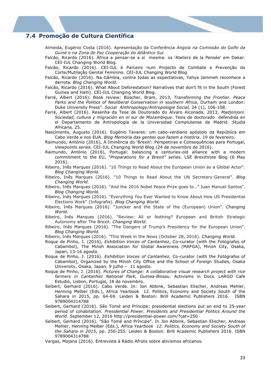# **7.4 Promoção de Cultura Científica**

- Almeida, Eugénio Costa (2016). Apresentação da Conferência *Angola na Comissão do Golfo da Guiné e na Zona de Paz Cooperação do Atlântico Sul*.
- Falcão, Ricardo (2016). África a pensar-se a si mesma: os 'Ateliers de la Pensée' em Dakar. CEI-IUL Changing World Blog.
- Falcão, Ricardo (2016). CEI-IUL é Parceiro num Projecto de Combate e Prevenção do Corte/Mutilação Genital Feminino. CEI-IUL Changing World Blog
- Falcão, Ricardo (2016). Na Gâmbia, contra todas as expectativas, Yahya Jammeh reconhece a derrota. *Blog Changing World*.
- Falcão, Ricardo (2016). What About Deforestation? Narratives that don't fit in the South (Forest Guinea and Haiti). CEI-IUL Changing World Blog.
- Farré, Albert (2016). Book review: Büscher, Bram, 2013, *Transforming the Frontier. Peace Parks and the Politics of Neoliberal Conservation in southern Africa*, Durham and London: Duke University Press". *Social Anthropology/Antropologie Social,* 24 (1), 106-108.
- Farré, Albert (2016). Resenha da Tese de Doutorado do Álvaro Alconada, 2013, *Madjonjoni. Sociedad, cultura y migración en el sur de Mozambique*. Tesis de doctorado defendida en el Departamento de Antropología de la Universidad Complutense de Madrid. *Studia Africana,* 25*.*
- Nascimento, Augusto (2016). Eugénio Tavares: um cabo-verdiano apóstolo da República em Cabo Verde e nos EUA. *Blog Memória das gentes que fazem a história*. 19 de fevereiro.
- Raimundo, António (2016), A Iminência do 'Brexit': Perspetivas e Consequências para Portugal, *Viewpoints series*. CEI-IUL Changing World Blog (24 de novembro de 2016).
- Raimundo, António (2016), Portugal: balancing a centuries-old alliance with a modern commitment to the EU, *"Preparations for a Brexit" series*. LSE BrexitVote Blog (6 May 2016).
- Ribeiro, Inês Marques (2016). "10 Things to Read About the European Union as a Global Actor". *Blog Changing World.*
- Ribeiro, Inês Marques (2016). "10 Things to Read About the UN Secretary-General". *Blog Changing World.*
- Ribeiro, Inês Marques (2016). "And the 2016 Nobel Peace Prize goes to…" Juan Manuel Santos". *Blog Changing World.*
- Ribeiro, Inês Marques (2016). "Everything You Ever Wanted to Know About How US Presidential Elections Work" (Infografia). *Blog Changing World.*
- Ribeiro, Inês Marques (2016). "Juncker and the State of the (European) Union". *Changing World.*
- Ribeiro, Inês Marques (2016). "Review: All or Nothing? European and British Strategic Autonomy after The Brexit. *Changing World.*
- Ribeiro, Inês Marques (2016). "The Dangers of Trump's Presidency for the European Union". *Blog Changing World.*
- Ribeiro, Inês Marques (2016). "This Week in the News (October 28, 2016). *Changing World.*
- Roque de Pinho, J. (2016), *Exhibition Voices of Cantanhez*, Co-curator (with the Fotógrafos of Cabambol), The Minoh Association for Global Awareness (MAFGA), Minoh City, Osaka, Japan, 13-16 agosto.
- Roque de Pinho, J. (2016). *Exhibition Voices of Cantanhez,* Co-curator (with the Fotógrafos of Cabambol), Organized by the Minoh City Office and the School of Foreign Studies, Osaka University, Osaka, Japan, 9 julho – 11 agosto.
- Roque de Pinho, J. (2016). *Pictures of Change: A collaborative visual research project with rice farmers in Cantanhez National Park, Guinea-Bissau*. Activisms in Docs. LARGO Cafe Estudio, Lisbon, Portugal, 18 de novembro.
- Seibert, Gerhard (2016). Cabo Verde. In: Jon Abbink, Sebastian Elischer, Andreas Mehler, Henning Melber (Eds.), Africa Yearbook 12. Politics, Economy and Society South of the Sahara in 2015, pp. 64-69. Leiden & Boston: Brill Academic Publishers 2016. ISBN 9789004314788
- Seibert, Gerhard (2016). São Tomé and Príncipe: presidential elections put an end to 25-year period of cohabitation. *Presidential Power. Presidents and Presidential Politics Around the World*. September 12, 2016 http://presidential-power.com/?cat=250
- Seibert, Gerhard (2016). "São Tomé and Príncipe". In Jon Abbink, Sebastian Elischer, Andreas Mehler, Henning Melber (Eds.), *Africa Yearbook 12. Politics, Economy and Society South of the Sahara in 2015*, pp. 250-255. Leiden & Boston: Brill Academic Publishers 2016. ISBN 9789004314788
- Vargas, Mojana (2016). Entrevista à Rádio Afrolis sobre ativismos africanos.